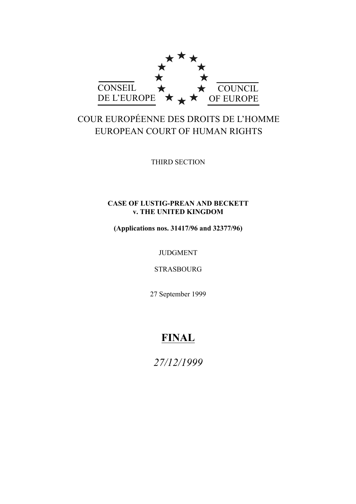

# COUR EUROPÉENNE DES DROITS DE L'HOMME EUROPEAN COURT OF HUMAN RIGHTS

THIRD SECTION

## **CASE OF LUSTIG-PREAN AND BECKETT v. THE UNITED KINGDOM**

**(Applications nos. 31417/96 and 32377/96)**

JUDGMENT

STRASBOURG

27 September 1999

# **FINAL**

*27/12/1999*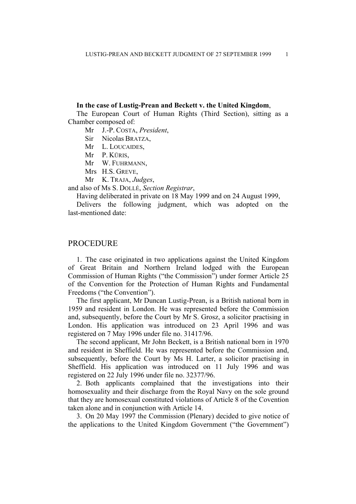## **In the case of Lustig-Prean and Beckett v. the United Kingdom**,

The European Court of Human Rights (Third Section), sitting as a Chamber composed of:

Mr J.-P. COSTA, *President*,

Sir Nicolas BRATZA,

Mr L. LOUCAIDES,

Mr P. KŪRIS,

Mr W. FUHRMANN,

Mrs H.S. GREVE,

Mr K. TRAJA, *Judges*,

and also of Ms S. DOLLÉ, *Section Registrar*,

Having deliberated in private on 18 May 1999 and on 24 August 1999,

Delivers the following judgment, which was adopted on the last-mentioned date:

## PROCEDURE

1. The case originated in two applications against the United Kingdom of Great Britain and Northern Ireland lodged with the European Commission of Human Rights ("the Commission") under former Article 25 of the Convention for the Protection of Human Rights and Fundamental Freedoms ("the Convention").

The first applicant, Mr Duncan Lustig-Prean, is a British national born in 1959 and resident in London. He was represented before the Commission and, subsequently, before the Court by Mr S. Grosz, a solicitor practising in London. His application was introduced on 23 April 1996 and was registered on 7 May 1996 under file no. 31417/96.

The second applicant, Mr John Beckett, is a British national born in 1970 and resident in Sheffield. He was represented before the Commission and, subsequently, before the Court by Ms H. Larter, a solicitor practising in Sheffield. His application was introduced on 11 July 1996 and was registered on 22 July 1996 under file no. 32377/96.

2. Both applicants complained that the investigations into their homosexuality and their discharge from the Royal Navy on the sole ground that they are homosexual constituted violations of Article 8 of the Covention taken alone and in conjunction with Article 14.

3. On 20 May 1997 the Commission (Plenary) decided to give notice of the applications to the United Kingdom Government ("the Government")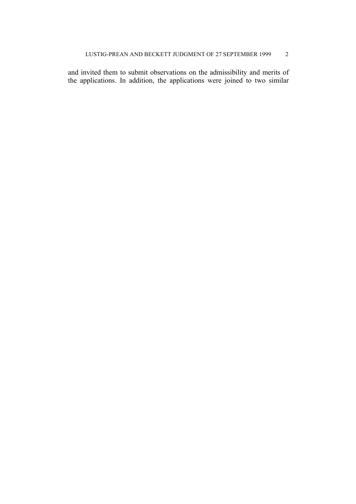and invited them to submit observations on the admissibility and merits of the applications. In addition, the applications were joined to two similar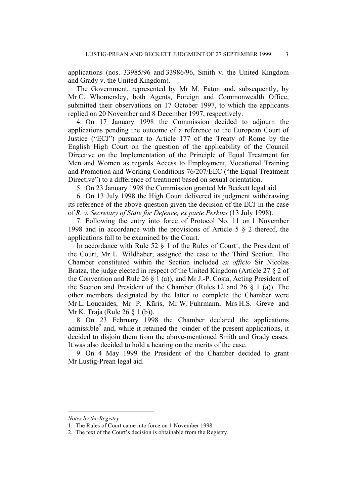applications (nos. 33985/96 and 33986/96, Smith v. the United Kingdom and Grady v. the United Kingdom).

The Government, represented by Mr M. Eaton and, subsequently, by Mr C. Whomersley, both Agents, Foreign and Commonwealth Office, submitted their observations on 17 October 1997, to which the applicants replied on 20 November and 8 December 1997, respectively.

4. On 17 January 1998 the Commission decided to adjourn the applications pending the outcome of a reference to the European Court of Justice ("ECJ") pursuant to Article 177 of the Treaty of Rome by the English High Court on the question of the applicability of the Council Directive on the Implementation of the Principle of Equal Treatment for Men and Women as regards Access to Employment, Vocational Training and Promotion and Working Conditions 76/207/EEC ("the Equal Treatment Directive") to a difference of treatment based on sexual orientation.

5. On 23 January 1998 the Commission granted Mr Beckett legal aid.

6. On 13 July 1998 the High Court delivered its judgment withdrawing its reference of the above question given the decision of the ECJ in the case of *R. v. Secretary of State for Defence, ex parte Perkins* (13 July 1998).

7. Following the entry into force of Protocol No. 11 on 1 November 1998 and in accordance with the provisions of Article 5  $\S$  2 thereof, the applications fall to be examined by the Court.

In accordance with Rule 52  $\frac{8}{9}$  1 of the Rules of Court<sup>1</sup>, the President of the Court, Mr L. Wildhaber, assigned the case to the Third Section. The Chamber constituted within the Section included *ex officio* Sir Nicolas Bratza, the judge elected in respect of the United Kingdom (Article 27 § 2 of the Convention and Rule 26 § 1 (a)), and Mr J.-P. Costa, Acting President of the Section and President of the Chamber (Rules 12 and 26 § 1 (a)). The other members designated by the latter to complete the Chamber were Mr L. Loucaides, Mr P. Kūris, Mr W. Fuhrmann, Mrs H.S. Greve and Mr K. Traja (Rule 26 § 1 (b)).

8. On 23 February 1998 the Chamber declared the applications admissible<sup>2</sup> and, while it retained the joinder of the present applications, it decided to disjoin them from the above-mentioned Smith and Grady cases. It was also decided to hold a hearing on the merits of the case.

9. On 4 May 1999 the President of the Chamber decided to grant Mr Lustig-Prean legal aid.

 $\overline{a}$ 

*Notes by the Registry*

<sup>1.</sup> The Rules of Court came into force on 1 November 1998.

<sup>2.</sup> The text of the Court's decision is obtainable from the Registry.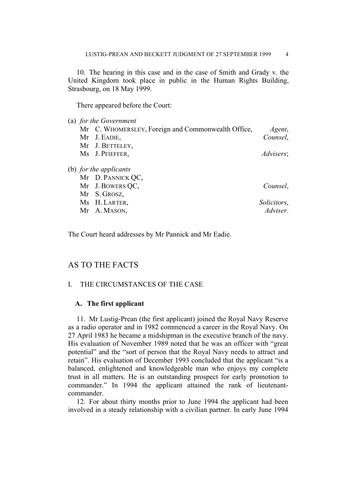10. The hearing in this case and in the case of Smith and Grady v. the United Kingdom took place in public in the Human Rights Building, Strasbourg, on 18 May 1999.

There appeared before the Court:

| (a) for the Government                      |                                                    |                |
|---------------------------------------------|----------------------------------------------------|----------------|
|                                             | Mr C. WHOMERSLEY, Foreign and Commonwealth Office, | Agent,         |
|                                             | Mr J. EADIE,                                       | Counsel,       |
|                                             | Mr J. BETTELEY,                                    |                |
|                                             | Ms J. PFIEFFER,                                    | Advisers;      |
| (b) for the applicants<br>Mr D. PANNICK QC, |                                                    |                |
|                                             | Mr J. BOWERS QC,                                   | Counsel,       |
|                                             | Mr S. GROSZ,                                       |                |
|                                             | Ms H. LARTER,                                      | Solicitors,    |
|                                             | Mr A. MASON,                                       | <i>Adviser</i> |
|                                             |                                                    |                |

The Court heard addresses by Mr Pannick and Mr Eadie.

## AS TO THE FACTS

## I. THE CIRCUMSTANCES OF THE CASE

## **A. The first applicant**

11. Mr Lustig-Prean (the first applicant) joined the Royal Navy Reserve as a radio operator and in 1982 commenced a career in the Royal Navy. On 27 April 1983 he became a midshipman in the executive branch of the navy. His evaluation of November 1989 noted that he was an officer with "great potential" and the "sort of person that the Royal Navy needs to attract and retain". His evaluation of December 1993 concluded that the applicant "is a balanced, enlightened and knowledgeable man who enjoys my complete trust in all matters. He is an outstanding prospect for early promotion to commander." In 1994 the applicant attained the rank of lieutenantcommander.

12. For about thirty months prior to June 1994 the applicant had been involved in a steady relationship with a civilian partner. In early June 1994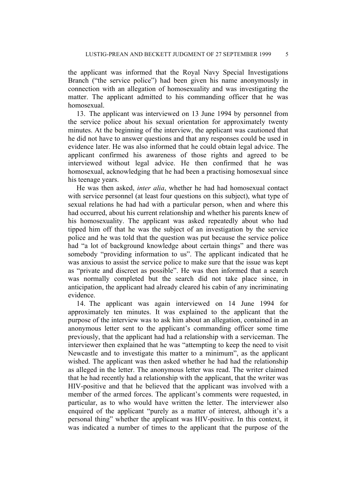the applicant was informed that the Royal Navy Special Investigations Branch ("the service police") had been given his name anonymously in connection with an allegation of homosexuality and was investigating the matter. The applicant admitted to his commanding officer that he was homosexual.

13. The applicant was interviewed on 13 June 1994 by personnel from the service police about his sexual orientation for approximately twenty minutes. At the beginning of the interview, the applicant was cautioned that he did not have to answer questions and that any responses could be used in evidence later. He was also informed that he could obtain legal advice. The applicant confirmed his awareness of those rights and agreed to be interviewed without legal advice. He then confirmed that he was homosexual, acknowledging that he had been a practising homosexual since his teenage years.

He was then asked, *inter alia*, whether he had had homosexual contact with service personnel (at least four questions on this subject), what type of sexual relations he had had with a particular person, when and where this had occurred, about his current relationship and whether his parents knew of his homosexuality. The applicant was asked repeatedly about who had tipped him off that he was the subject of an investigation by the service police and he was told that the question was put because the service police had "a lot of background knowledge about certain things" and there was somebody "providing information to us". The applicant indicated that he was anxious to assist the service police to make sure that the issue was kept as "private and discreet as possible". He was then informed that a search was normally completed but the search did not take place since, in anticipation, the applicant had already cleared his cabin of any incriminating evidence.

14. The applicant was again interviewed on 14 June 1994 for approximately ten minutes. It was explained to the applicant that the purpose of the interview was to ask him about an allegation, contained in an anonymous letter sent to the applicant's commanding officer some time previously, that the applicant had had a relationship with a serviceman. The interviewer then explained that he was "attempting to keep the need to visit Newcastle and to investigate this matter to a minimum", as the applicant wished. The applicant was then asked whether he had had the relationship as alleged in the letter. The anonymous letter was read. The writer claimed that he had recently had a relationship with the applicant, that the writer was HIV-positive and that he believed that the applicant was involved with a member of the armed forces. The applicant's comments were requested, in particular, as to who would have written the letter. The interviewer also enquired of the applicant "purely as a matter of interest, although it's a personal thing" whether the applicant was HIV-positive. In this context, it was indicated a number of times to the applicant that the purpose of the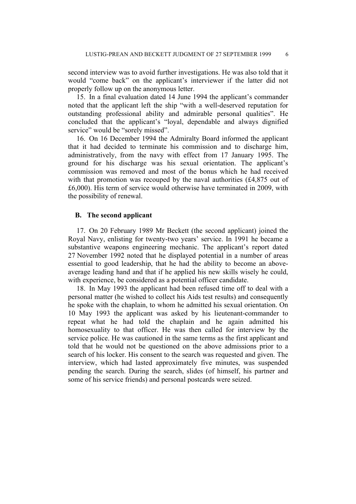second interview was to avoid further investigations. He was also told that it would "come back" on the applicant's interviewer if the latter did not properly follow up on the anonymous letter.

15. In a final evaluation dated 14 June 1994 the applicant's commander noted that the applicant left the ship "with a well-deserved reputation for outstanding professional ability and admirable personal qualities". He concluded that the applicant's "loyal, dependable and always dignified service" would be "sorely missed".

16. On 16 December 1994 the Admiralty Board informed the applicant that it had decided to terminate his commission and to discharge him, administratively, from the navy with effect from 17 January 1995. The ground for his discharge was his sexual orientation. The applicant's commission was removed and most of the bonus which he had received with that promotion was recouped by the naval authorities (£4,875 out of £6,000). His term of service would otherwise have terminated in 2009, with the possibility of renewal.

## **B. The second applicant**

17. On 20 February 1989 Mr Beckett (the second applicant) joined the Royal Navy, enlisting for twenty-two years' service. In 1991 he became a substantive weapons engineering mechanic. The applicant's report dated 27 November 1992 noted that he displayed potential in a number of areas essential to good leadership, that he had the ability to become an aboveaverage leading hand and that if he applied his new skills wisely he could, with experience, be considered as a potential officer candidate.

18. In May 1993 the applicant had been refused time off to deal with a personal matter (he wished to collect his Aids test results) and consequently he spoke with the chaplain, to whom he admitted his sexual orientation. On 10 May 1993 the applicant was asked by his lieutenant-commander to repeat what he had told the chaplain and he again admitted his homosexuality to that officer. He was then called for interview by the service police. He was cautioned in the same terms as the first applicant and told that he would not be questioned on the above admissions prior to a search of his locker. His consent to the search was requested and given. The interview, which had lasted approximately five minutes, was suspended pending the search. During the search, slides (of himself, his partner and some of his service friends) and personal postcards were seized.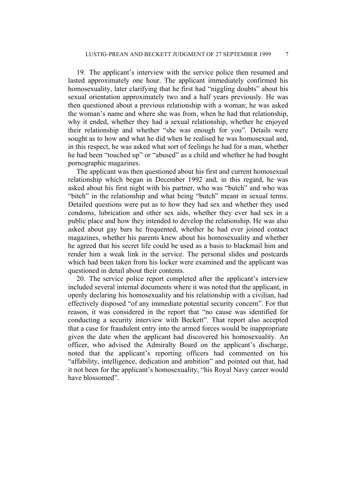19. The applicant's interview with the service police then resumed and lasted approximately one hour. The applicant immediately confirmed his homosexuality, later clarifying that he first had "niggling doubts" about his sexual orientation approximately two and a half years previously. He was then questioned about a previous relationship with a woman; he was asked the woman's name and where she was from, when he had that relationship, why it ended, whether they had a sexual relationship, whether he enjoyed their relationship and whether "she was enough for you". Details were sought as to how and what he did when he realised he was homosexual and, in this respect, he was asked what sort of feelings he had for a man, whether he had been "touched up" or "abused" as a child and whether he had bought pornographic magazines.

The applicant was then questioned about his first and current homosexual relationship which began in December 1992 and, in this regard, he was asked about his first night with his partner, who was "butch" and who was "bitch" in the relationship and what being "butch" meant in sexual terms. Detailed questions were put as to how they had sex and whether they used condoms, lubrication and other sex aids, whether they ever had sex in a public place and how they intended to develop the relationship. He was also asked about gay bars he frequented, whether he had ever joined contact magazines, whether his parents knew about his homosexuality and whether he agreed that his secret life could be used as a basis to blackmail him and render him a weak link in the service. The personal slides and postcards which had been taken from his locker were examined and the applicant was questioned in detail about their contents.

20. The service police report completed after the applicant's interview included several internal documents where it was noted that the applicant, in openly declaring his homosexuality and his relationship with a civilian, had effectively disposed "of any immediate potential security concern". For that reason, it was considered in the report that "no cause was identified for conducting a security interview with Beckett". That report also accepted that a case for fraudulent entry into the armed forces would be inappropriate given the date when the applicant had discovered his homosexuality. An officer, who advised the Admiralty Board on the applicant's discharge, noted that the applicant's reporting officers had commented on his "affability, intelligence, dedication and ambition" and pointed out that, had it not been for the applicant's homosexuality, "his Royal Navy career would have blossomed".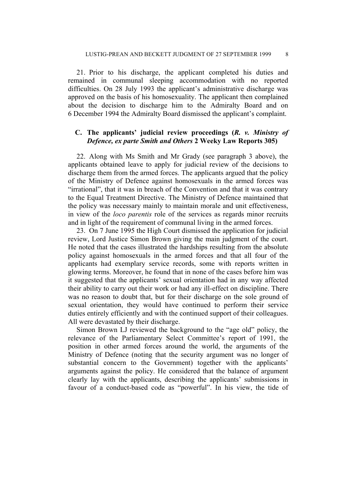21. Prior to his discharge, the applicant completed his duties and remained in communal sleeping accommodation with no reported difficulties. On 28 July 1993 the applicant's administrative discharge was approved on the basis of his homosexuality. The applicant then complained about the decision to discharge him to the Admiralty Board and on 6 December 1994 the Admiralty Board dismissed the applicant's complaint.

## **C. The applicants' judicial review proceedings (***R. v. Ministry of Defence, ex parte Smith and Others* **2 Weeky Law Reports 305)**

22. Along with Ms Smith and Mr Grady (see paragraph 3 above), the applicants obtained leave to apply for judicial review of the decisions to discharge them from the armed forces. The applicants argued that the policy of the Ministry of Defence against homosexuals in the armed forces was "irrational", that it was in breach of the Convention and that it was contrary to the Equal Treatment Directive. The Ministry of Defence maintained that the policy was necessary mainly to maintain morale and unit effectiveness, in view of the *loco parentis* role of the services as regards minor recruits and in light of the requirement of communal living in the armed forces.

23. On 7 June 1995 the High Court dismissed the application for judicial review, Lord Justice Simon Brown giving the main judgment of the court. He noted that the cases illustrated the hardships resulting from the absolute policy against homosexuals in the armed forces and that all four of the applicants had exemplary service records, some with reports written in glowing terms. Moreover, he found that in none of the cases before him was it suggested that the applicants' sexual orientation had in any way affected their ability to carry out their work or had any ill-effect on discipline. There was no reason to doubt that, but for their discharge on the sole ground of sexual orientation, they would have continued to perform their service duties entirely efficiently and with the continued support of their colleagues. All were devastated by their discharge.

Simon Brown LJ reviewed the background to the "age old" policy, the relevance of the Parliamentary Select Committee's report of 1991, the position in other armed forces around the world, the arguments of the Ministry of Defence (noting that the security argument was no longer of substantial concern to the Government) together with the applicants' arguments against the policy. He considered that the balance of argument clearly lay with the applicants, describing the applicants' submissions in favour of a conduct-based code as "powerful". In his view, the tide of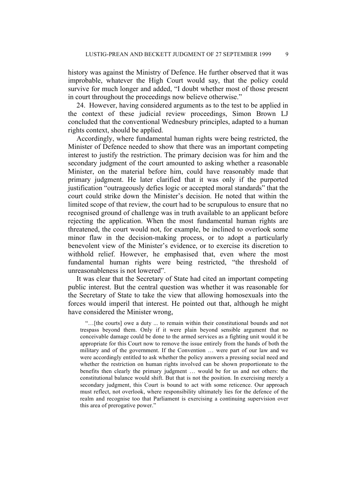history was against the Ministry of Defence. He further observed that it was improbable, whatever the High Court would say, that the policy could survive for much longer and added, "I doubt whether most of those present in court throughout the proceedings now believe otherwise."

24. However, having considered arguments as to the test to be applied in the context of these judicial review proceedings, Simon Brown LJ concluded that the conventional Wednesbury principles, adapted to a human rights context, should be applied.

Accordingly, where fundamental human rights were being restricted, the Minister of Defence needed to show that there was an important competing interest to justify the restriction. The primary decision was for him and the secondary judgment of the court amounted to asking whether a reasonable Minister, on the material before him, could have reasonably made that primary judgment. He later clarified that it was only if the purported justification "outrageously defies logic or accepted moral standards" that the court could strike down the Minister's decision. He noted that within the limited scope of that review, the court had to be scrupulous to ensure that no recognised ground of challenge was in truth available to an applicant before rejecting the application. When the most fundamental human rights are threatened, the court would not, for example, be inclined to overlook some minor flaw in the decision-making process, or to adopt a particularly benevolent view of the Minister's evidence, or to exercise its discretion to withhold relief. However, he emphasised that, even where the most fundamental human rights were being restricted, "the threshold of unreasonableness is not lowered".

It was clear that the Secretary of State had cited an important competing public interest. But the central question was whether it was reasonable for the Secretary of State to take the view that allowing homosexuals into the forces would imperil that interest. He pointed out that, although he might have considered the Minister wrong,

"…[the courts] owe a duty ... to remain within their constitutional bounds and not trespass beyond them. Only if it were plain beyond sensible argument that no conceivable damage could be done to the armed services as a fighting unit would it be appropriate for this Court now to remove the issue entirely from the hands of both the military and of the government. If the Convention … were part of our law and we were accordingly entitled to ask whether the policy answers a pressing social need and whether the restriction on human rights involved can be shown proportionate to the benefits then clearly the primary judgment … would be for us and not others: the constitutional balance would shift. But that is not the position. In exercising merely a secondary judgment, this Court is bound to act with some reticence. Our approach must reflect, not overlook, where responsibility ultimately lies for the defence of the realm and recognise too that Parliament is exercising a continuing supervision over this area of prerogative power."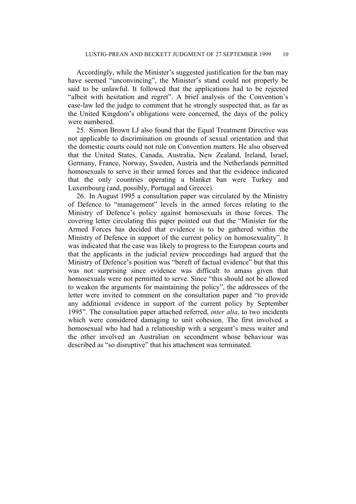Accordingly, while the Minister's suggested justification for the ban may have seemed "unconvincing", the Minister's stand could not properly be said to be unlawful. It followed that the applications had to be rejected "albeit with hesitation and regret". A brief analysis of the Convention's case-law led the judge to comment that he strongly suspected that, as far as the United Kingdom's obligations were concerned, the days of the policy were numbered.

25. Simon Brown LJ also found that the Equal Treatment Directive was not applicable to discrimination on grounds of sexual orientation and that the domestic courts could not rule on Convention matters. He also observed that the United States, Canada, Australia, New Zealand, Ireland, Israel, Germany, France, Norway, Sweden, Austria and the Netherlands permitted homosexuals to serve in their armed forces and that the evidence indicated that the only countries operating a blanket ban were Turkey and Luxembourg (and, possibly, Portugal and Greece).

26. In August 1995 a consultation paper was circulated by the Ministry of Defence to "management" levels in the armed forces relating to the Ministry of Defence's policy against homosexuals in those forces. The covering letter circulating this paper pointed out that the "Minister for the Armed Forces has decided that evidence is to be gathered within the Ministry of Defence in support of the current policy on homosexuality". It was indicated that the case was likely to progress to the European courts and that the applicants in the judicial review proceedings had argued that the Ministry of Defence's position was "bereft of factual evidence" but that this was not surprising since evidence was difficult to amass given that homosexuals were not permitted to serve. Since "this should not be allowed to weaken the arguments for maintaining the policy", the addressees of the letter were invited to comment on the consultation paper and "to provide any additional evidence in support of the current policy by September 1995". The consultation paper attached referred, *inter alia*, to two incidents which were considered damaging to unit cohesion. The first involved a homosexual who had had a relationship with a sergeant's mess waiter and the other involved an Australian on secondment whose behaviour was described as "so disruptive" that his attachment was terminated.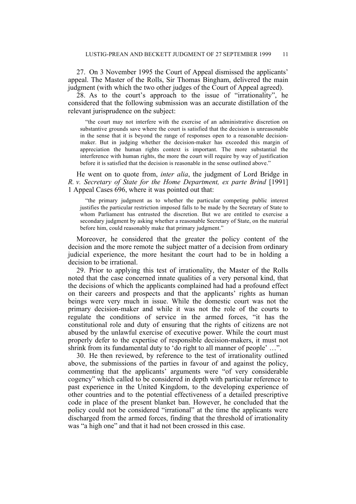27. On 3 November 1995 the Court of Appeal dismissed the applicants' appeal. The Master of the Rolls, Sir Thomas Bingham, delivered the main judgment (with which the two other judges of the Court of Appeal agreed).

28. As to the court's approach to the issue of "irrationality", he considered that the following submission was an accurate distillation of the relevant jurisprudence on the subject:

"the court may not interfere with the exercise of an administrative discretion on substantive grounds save where the court is satisfied that the decision is unreasonable in the sense that it is beyond the range of responses open to a reasonable decisionmaker. But in judging whether the decision-maker has exceeded this margin of appreciation the human rights context is important. The more substantial the interference with human rights, the more the court will require by way of justification before it is satisfied that the decision is reasonable in the sense outlined above."

He went on to quote from, *inter alia*, the judgment of Lord Bridge in *R. v. Secretary of State for the Home Department, ex parte Brind* [1991] 1 Appeal Cases 696, where it was pointed out that:

"the primary judgment as to whether the particular competing public interest justifies the particular restriction imposed falls to be made by the Secretary of State to whom Parliament has entrusted the discretion. But we are entitled to exercise a secondary judgment by asking whether a reasonable Secretary of State, on the material before him, could reasonably make that primary judgment."

Moreover, he considered that the greater the policy content of the decision and the more remote the subject matter of a decision from ordinary judicial experience, the more hesitant the court had to be in holding a decision to be irrational.

29. Prior to applying this test of irrationality, the Master of the Rolls noted that the case concerned innate qualities of a very personal kind, that the decisions of which the applicants complained had had a profound effect on their careers and prospects and that the applicants' rights as human beings were very much in issue. While the domestic court was not the primary decision-maker and while it was not the role of the courts to regulate the conditions of service in the armed forces, "it has the constitutional role and duty of ensuring that the rights of citizens are not abused by the unlawful exercise of executive power. While the court must properly defer to the expertise of responsible decision-makers, it must not shrink from its fundamental duty to 'do right to all manner of people' …".

30. He then reviewed, by reference to the test of irrationality outlined above, the submissions of the parties in favour of and against the policy, commenting that the applicants' arguments were "of very considerable cogency" which called to be considered in depth with particular reference to past experience in the United Kingdom, to the developing experience of other countries and to the potential effectiveness of a detailed prescriptive code in place of the present blanket ban. However, he concluded that the policy could not be considered "irrational" at the time the applicants were discharged from the armed forces, finding that the threshold of irrationality was "a high one" and that it had not been crossed in this case.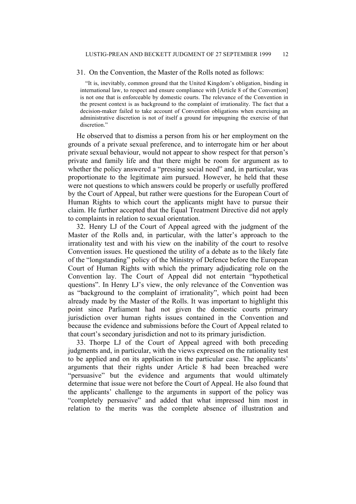#### 31. On the Convention, the Master of the Rolls noted as follows:

"It is, inevitably, common ground that the United Kingdom's obligation, binding in international law, to respect and ensure compliance with [Article 8 of the Convention] is not one that is enforceable by domestic courts. The relevance of the Convention in the present context is as background to the complaint of irrationality. The fact that a decision-maker failed to take account of Convention obligations when exercising an administrative discretion is not of itself a ground for impugning the exercise of that discretion<sup>"</sup>

He observed that to dismiss a person from his or her employment on the grounds of a private sexual preference, and to interrogate him or her about private sexual behaviour, would not appear to show respect for that person's private and family life and that there might be room for argument as to whether the policy answered a "pressing social need" and, in particular, was proportionate to the legitimate aim pursued. However, he held that these were not questions to which answers could be properly or usefully proffered by the Court of Appeal, but rather were questions for the European Court of Human Rights to which court the applicants might have to pursue their claim. He further accepted that the Equal Treatment Directive did not apply to complaints in relation to sexual orientation.

32. Henry LJ of the Court of Appeal agreed with the judgment of the Master of the Rolls and, in particular, with the latter's approach to the irrationality test and with his view on the inability of the court to resolve Convention issues. He questioned the utility of a debate as to the likely fate of the "longstanding" policy of the Ministry of Defence before the European Court of Human Rights with which the primary adjudicating role on the Convention lay. The Court of Appeal did not entertain "hypothetical questions". In Henry LJ's view, the only relevance of the Convention was as "background to the complaint of irrationality", which point had been already made by the Master of the Rolls. It was important to highlight this point since Parliament had not given the domestic courts primary jurisdiction over human rights issues contained in the Convention and because the evidence and submissions before the Court of Appeal related to that court's secondary jurisdiction and not to its primary jurisdiction.

33. Thorpe LJ of the Court of Appeal agreed with both preceding judgments and, in particular, with the views expressed on the rationality test to be applied and on its application in the particular case. The applicants' arguments that their rights under Article 8 had been breached were "persuasive" but the evidence and arguments that would ultimately determine that issue were not before the Court of Appeal. He also found that the applicants' challenge to the arguments in support of the policy was "completely persuasive" and added that what impressed him most in relation to the merits was the complete absence of illustration and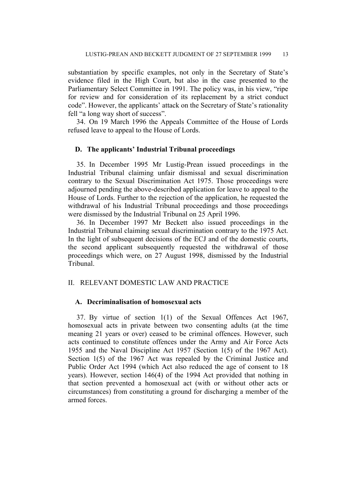substantiation by specific examples, not only in the Secretary of State's evidence filed in the High Court, but also in the case presented to the Parliamentary Select Committee in 1991. The policy was, in his view, "ripe for review and for consideration of its replacement by a strict conduct code". However, the applicants' attack on the Secretary of State's rationality fell "a long way short of success".

34. On 19 March 1996 the Appeals Committee of the House of Lords refused leave to appeal to the House of Lords.

#### **D. The applicants' Industrial Tribunal proceedings**

35. In December 1995 Mr Lustig-Prean issued proceedings in the Industrial Tribunal claiming unfair dismissal and sexual discrimination contrary to the Sexual Discrimination Act 1975. Those proceedings were adjourned pending the above-described application for leave to appeal to the House of Lords. Further to the rejection of the application, he requested the withdrawal of his Industrial Tribunal proceedings and those proceedings were dismissed by the Industrial Tribunal on 25 April 1996.

36. In December 1997 Mr Beckett also issued proceedings in the Industrial Tribunal claiming sexual discrimination contrary to the 1975 Act. In the light of subsequent decisions of the ECJ and of the domestic courts, the second applicant subsequently requested the withdrawal of those proceedings which were, on 27 August 1998, dismissed by the Industrial Tribunal.

## II. RELEVANT DOMESTIC LAW AND PRACTICE

#### **A. Decriminalisation of homosexual acts**

37. By virtue of section 1(1) of the Sexual Offences Act 1967, homosexual acts in private between two consenting adults (at the time meaning 21 years or over) ceased to be criminal offences. However, such acts continued to constitute offences under the Army and Air Force Acts 1955 and the Naval Discipline Act 1957 (Section 1(5) of the 1967 Act). Section 1(5) of the 1967 Act was repealed by the Criminal Justice and Public Order Act 1994 (which Act also reduced the age of consent to 18 years). However, section 146(4) of the 1994 Act provided that nothing in that section prevented a homosexual act (with or without other acts or circumstances) from constituting a ground for discharging a member of the armed forces.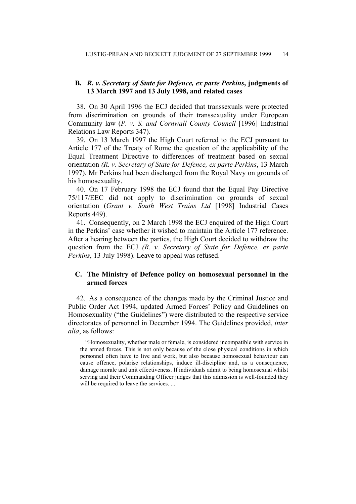## **B.** *R. v. Secretary of State for Defence, ex parte Perkins***, judgments of 13 March 1997 and 13 July 1998, and related cases**

38. On 30 April 1996 the ECJ decided that transsexuals were protected from discrimination on grounds of their transsexuality under European Community law (*P. v. S. and Cornwall County Council* [1996] Industrial Relations Law Reports 347).

39. On 13 March 1997 the High Court referred to the ECJ pursuant to Article 177 of the Treaty of Rome the question of the applicability of the Equal Treatment Directive to differences of treatment based on sexual orientation *(R. v. Secretary of State for Defence, ex parte Perkins*, 13 March 1997). Mr Perkins had been discharged from the Royal Navy on grounds of his homosexuality.

40. On 17 February 1998 the ECJ found that the Equal Pay Directive 75/117/EEC did not apply to discrimination on grounds of sexual orientation (*Grant v. South West Trains Ltd* [1998] Industrial Cases Reports 449).

41. Consequently, on 2 March 1998 the ECJ enquired of the High Court in the Perkins' case whether it wished to maintain the Article 177 reference. After a hearing between the parties, the High Court decided to withdraw the question from the ECJ *(R. v. Secretary of State for Defence, ex parte Perkins*, 13 July 1998). Leave to appeal was refused.

## **C. The Ministry of Defence policy on homosexual personnel in the armed forces**

42. As a consequence of the changes made by the Criminal Justice and Public Order Act 1994, updated Armed Forces' Policy and Guidelines on Homosexuality ("the Guidelines") were distributed to the respective service directorates of personnel in December 1994. The Guidelines provided, *inter alia*, as follows:

"Homosexuality, whether male or female, is considered incompatible with service in the armed forces. This is not only because of the close physical conditions in which personnel often have to live and work, but also because homosexual behaviour can cause offence, polarise relationships, induce ill-discipline and, as a consequence, damage morale and unit effectiveness. If individuals admit to being homosexual whilst serving and their Commanding Officer judges that this admission is well-founded they will be required to leave the services. ...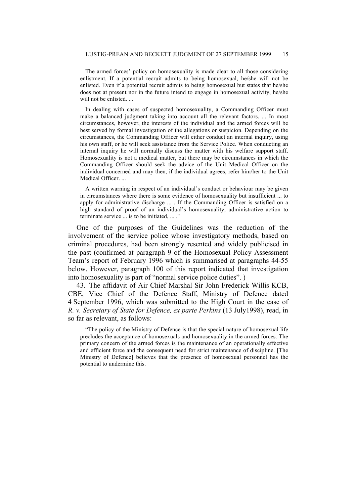The armed forces' policy on homosexuality is made clear to all those considering enlistment. If a potential recruit admits to being homosexual, he/she will not be enlisted. Even if a potential recruit admits to being homosexual but states that he/she does not at present nor in the future intend to engage in homosexual activity, he/she will not be enlisted. ...

In dealing with cases of suspected homosexuality, a Commanding Officer must make a balanced judgment taking into account all the relevant factors. ... In most circumstances, however, the interests of the individual and the armed forces will be best served by formal investigation of the allegations or suspicion. Depending on the circumstances, the Commanding Officer will either conduct an internal inquiry, using his own staff, or he will seek assistance from the Service Police. When conducting an internal inquiry he will normally discuss the matter with his welfare support staff. Homosexuality is not a medical matter, but there may be circumstances in which the Commanding Officer should seek the advice of the Unit Medical Officer on the individual concerned and may then, if the individual agrees, refer him/her to the Unit Medical Officer. ...

A written warning in respect of an individual's conduct or behaviour may be given in circumstances where there is some evidence of homosexuality but insufficient ... to apply for administrative discharge ... . If the Commanding Officer is satisfied on a high standard of proof of an individual's homosexuality, administrative action to terminate service ... is to be initiated, ... ."

One of the purposes of the Guidelines was the reduction of the involvement of the service police whose investigatory methods, based on criminal procedures, had been strongly resented and widely publicised in the past (confirmed at paragraph 9 of the Homosexual Policy Assessment Team's report of February 1996 which is summarised at paragraphs 44-55 below. However, paragraph 100 of this report indicated that investigation into homosexuality is part of "normal service police duties". )

43. The affidavit of Air Chief Marshal Sir John Frederick Willis KCB, CBE, Vice Chief of the Defence Staff, Ministry of Defence dated 4 September 1996, which was submitted to the High Court in the case of *R. v. Secretary of State for Defence, ex parte Perkins* (13 July1998), read, in so far as relevant, as follows:

"The policy of the Ministry of Defence is that the special nature of homosexual life precludes the acceptance of homosexuals and homosexuality in the armed forces. The primary concern of the armed forces is the maintenance of an operationally effective and efficient force and the consequent need for strict maintenance of discipline. [The Ministry of Defence] believes that the presence of homosexual personnel has the potential to undermine this.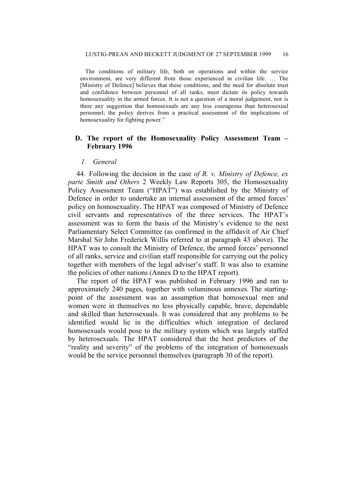The conditions of military life, both on operations and within the service environment, are very different from those experienced in civilian life. … The [Ministry of Defence] believes that these conditions, and the need for absolute trust and confidence between personnel of all ranks, must dictate its policy towards homosexuality in the armed forces. It is not a question of a moral judgement, nor is there any suggestion that homosexuals are any less courageous than heterosexual personnel; the policy derives from a practical assessment of the implications of homosexuality for fighting power."

## **D. The report of the Homosexuality Policy Assessment Team – February 1996**

#### *1. General*

44. Following the decision in the case *of R. v. Ministry of Defence, ex parte Smith and Others* 2 Weekly Law Reports 305, the Homosexuality Policy Assessment Team ("HPAT") was established by the Ministry of Defence in order to undertake an internal assessment of the armed forces' policy on homosexuality. The HPAT was composed of Ministry of Defence civil servants and representatives of the three services. The HPAT's assessment was to form the basis of the Ministry's evidence to the next Parliamentary Select Committee (as confirmed in the affidavit of Air Chief Marshal Sir John Frederick Willis referred to at paragraph 43 above). The HPAT was to consult the Ministry of Defence, the armed forces' personnel of all ranks, service and civilian staff responsible for carrying out the policy together with members of the legal adviser's staff. It was also to examine the policies of other nations (Annex D to the HPAT report).

The report of the HPAT was published in February 1996 and ran to approximately 240 pages, together with voluminous annexes. The startingpoint of the assessment was an assumption that homosexual men and women were in themselves no less physically capable, brave, dependable and skilled than heterosexuals. It was considered that any problems to be identified would lie in the difficulties which integration of declared homosexuals would pose to the military system which was largely staffed by heterosexuals. The HPAT considered that the best predictors of the "reality and severity" of the problems of the integration of homosexuals would be the service personnel themselves (paragraph 30 of the report).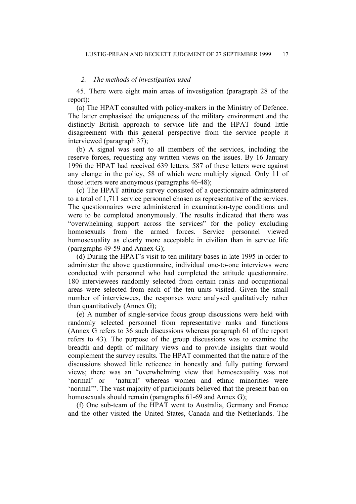#### *2. The methods of investigation used*

45. There were eight main areas of investigation (paragraph 28 of the report):

(a) The HPAT consulted with policy-makers in the Ministry of Defence. The latter emphasised the uniqueness of the military environment and the distinctly British approach to service life and the HPAT found little disagreement with this general perspective from the service people it interviewed (paragraph 37);

(b) A signal was sent to all members of the services, including the reserve forces, requesting any written views on the issues. By 16 January 1996 the HPAT had received 639 letters. 587 of these letters were against any change in the policy, 58 of which were multiply signed. Only 11 of those letters were anonymous (paragraphs 46-48);

(c) The HPAT attitude survey consisted of a questionnaire administered to a total of 1,711 service personnel chosen as representative of the services. The questionnaires were administered in examination-type conditions and were to be completed anonymously. The results indicated that there was "overwhelming support across the services" for the policy excluding homosexuals from the armed forces. Service personnel viewed homosexuality as clearly more acceptable in civilian than in service life (paragraphs 49-59 and Annex G);

(d) During the HPAT's visit to ten military bases in late 1995 in order to administer the above questionnaire, individual one-to-one interviews were conducted with personnel who had completed the attitude questionnaire. 180 interviewees randomly selected from certain ranks and occupational areas were selected from each of the ten units visited. Given the small number of interviewees, the responses were analysed qualitatively rather than quantitatively (Annex G);

(e) A number of single-service focus group discussions were held with randomly selected personnel from representative ranks and functions (Annex G refers to 36 such discussions whereas paragraph 61 of the report refers to 43). The purpose of the group discussions was to examine the breadth and depth of military views and to provide insights that would complement the survey results. The HPAT commented that the nature of the discussions showed little reticence in honestly and fully putting forward views; there was an "overwhelming view that homosexuality was not 'normal' or 'natural' whereas women and ethnic minorities were 'normal'". The vast majority of participants believed that the present ban on homosexuals should remain (paragraphs 61-69 and Annex G);

(f) One sub-team of the HPAT went to Australia, Germany and France and the other visited the United States, Canada and the Netherlands. The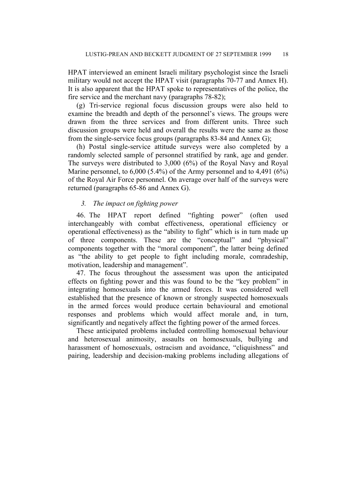HPAT interviewed an eminent Israeli military psychologist since the Israeli military would not accept the HPAT visit (paragraphs 70-77 and Annex H). It is also apparent that the HPAT spoke to representatives of the police, the fire service and the merchant navy (paragraphs 78-82);

(g) Tri-service regional focus discussion groups were also held to examine the breadth and depth of the personnel's views. The groups were drawn from the three services and from different units. Three such discussion groups were held and overall the results were the same as those from the single-service focus groups (paragraphs 83-84 and Annex G);

(h) Postal single-service attitude surveys were also completed by a randomly selected sample of personnel stratified by rank, age and gender. The surveys were distributed to 3,000 (6%) of the Royal Navy and Royal Marine personnel, to 6,000 (5.4%) of the Army personnel and to 4,491 (6%) of the Royal Air Force personnel. On average over half of the surveys were returned (paragraphs 65-86 and Annex G).

## *3. The impact on fighting power*

46. The HPAT report defined "fighting power" (often used interchangeably with combat effectiveness, operational efficiency or operational effectiveness) as the "ability to fight" which is in turn made up of three components. These are the "conceptual" and "physical" components together with the "moral component", the latter being defined as "the ability to get people to fight including morale, comradeship, motivation, leadership and management".

47. The focus throughout the assessment was upon the anticipated effects on fighting power and this was found to be the "key problem" in integrating homosexuals into the armed forces. It was considered well established that the presence of known or strongly suspected homosexuals in the armed forces would produce certain behavioural and emotional responses and problems which would affect morale and, in turn, significantly and negatively affect the fighting power of the armed forces.

These anticipated problems included controlling homosexual behaviour and heterosexual animosity, assaults on homosexuals, bullying and harassment of homosexuals, ostracism and avoidance, "cliquishness" and pairing, leadership and decision-making problems including allegations of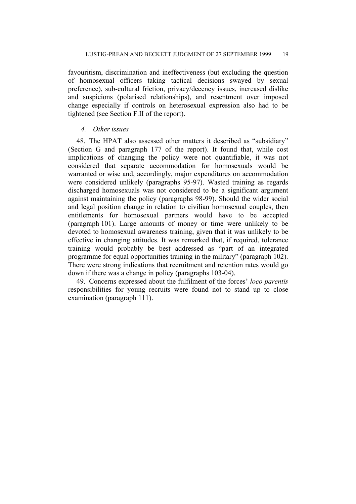favouritism, discrimination and ineffectiveness (but excluding the question of homosexual officers taking tactical decisions swayed by sexual preference), sub-cultural friction, privacy/decency issues, increased dislike and suspicions (polarised relationships), and resentment over imposed change especially if controls on heterosexual expression also had to be tightened (see Section F.II of the report).

## *4. Other issues*

48. The HPAT also assessed other matters it described as "subsidiary" (Section G and paragraph 177 of the report). It found that, while cost implications of changing the policy were not quantifiable, it was not considered that separate accommodation for homosexuals would be warranted or wise and, accordingly, major expenditures on accommodation were considered unlikely (paragraphs 95-97). Wasted training as regards discharged homosexuals was not considered to be a significant argument against maintaining the policy (paragraphs 98-99). Should the wider social and legal position change in relation to civilian homosexual couples, then entitlements for homosexual partners would have to be accepted (paragraph 101). Large amounts of money or time were unlikely to be devoted to homosexual awareness training, given that it was unlikely to be effective in changing attitudes. It was remarked that, if required, tolerance training would probably be best addressed as "part of an integrated programme for equal opportunities training in the military" (paragraph 102). There were strong indications that recruitment and retention rates would go down if there was a change in policy (paragraphs 103-04).

49. Concerns expressed about the fulfilment of the forces' *loco parentis* responsibilities for young recruits were found not to stand up to close examination (paragraph 111).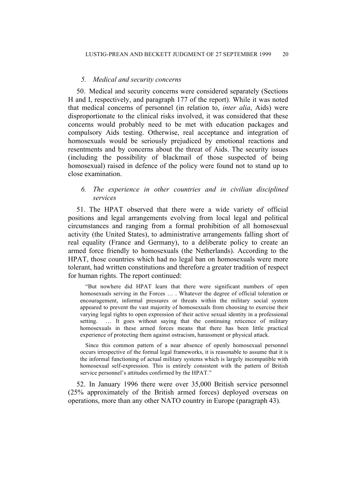#### *5. Medical and security concerns*

50. Medical and security concerns were considered separately (Sections H and I, respectively, and paragraph 177 of the report). While it was noted that medical concerns of personnel (in relation to, *inter alia*, Aids) were disproportionate to the clinical risks involved, it was considered that these concerns would probably need to be met with education packages and compulsory Aids testing. Otherwise, real acceptance and integration of homosexuals would be seriously prejudiced by emotional reactions and resentments and by concerns about the threat of Aids. The security issues (including the possibility of blackmail of those suspected of being homosexual) raised in defence of the policy were found not to stand up to close examination.

## *6. The experience in other countries and in civilian disciplined services*

51. The HPAT observed that there were a wide variety of official positions and legal arrangements evolving from local legal and political circumstances and ranging from a formal prohibition of all homosexual activity (the United States), to administrative arrangements falling short of real equality (France and Germany), to a deliberate policy to create an armed force friendly to homosexuals (the Netherlands). According to the HPAT, those countries which had no legal ban on homosexuals were more tolerant, had written constitutions and therefore a greater tradition of respect for human rights. The report continued:

"But nowhere did HPAT learn that there were significant numbers of open homosexuals serving in the Forces … . Whatever the degree of official toleration or encouragement, informal pressures or threats within the military social system appeared to prevent the vast majority of homosexuals from choosing to exercise their varying legal rights to open expression of their active sexual identity in a professional setting. ... It goes without saying that the continuing reticence of military homosexuals in these armed forces means that there has been little practical experience of protecting them against ostracism, harassment or physical attack.

Since this common pattern of a near absence of openly homosexual personnel occurs irrespective of the formal legal frameworks, it is reasonable to assume that it is the informal functioning of actual military systems which is largely incompatible with homosexual self-expression. This is entirely consistent with the pattern of British service personnel's attitudes confirmed by the HPAT."

52. In January 1996 there were over 35,000 British service personnel (25% approximately of the British armed forces) deployed overseas on operations, more than any other NATO country in Europe (paragraph 43).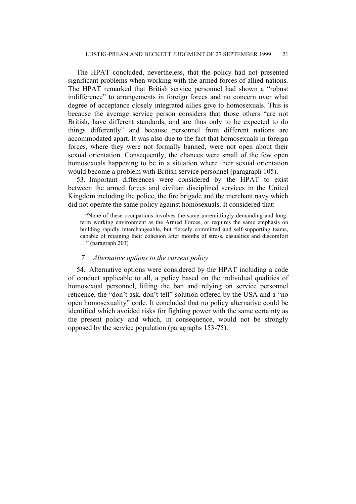The HPAT concluded, nevertheless, that the policy had not presented significant problems when working with the armed forces of allied nations. The HPAT remarked that British service personnel had shown a "robust indifference" to arrangements in foreign forces and no concern over what degree of acceptance closely integrated allies give to homosexuals. This is because the average service person considers that those others "are not British, have different standards, and are thus only to be expected to do things differently" and because personnel from different nations are accommodated apart. It was also due to the fact that homosexuals in foreign forces, where they were not formally banned, were not open about their sexual orientation. Consequently, the chances were small of the few open homosexuals happening to be in a situation where their sexual orientation would become a problem with British service personnel (paragraph 105).

53. Important differences were considered by the HPAT to exist between the armed forces and civilian disciplined services in the United Kingdom including the police, the fire brigade and the merchant navy which did not operate the same policy against homosexuals. It considered that:

"None of these occupations involves the same unremittingly demanding and longterm working environment as the Armed Forces, or requires the same emphasis on building rapidly interchangeable, but fiercely committed and self-supporting teams, capable of retaining their cohesion after months of stress, casualties and discomfort …" (paragraph 203)

## *7. Alternative options to the current policy*

54. Alternative options were considered by the HPAT including a code of conduct applicable to all, a policy based on the individual qualities of homosexual personnel, lifting the ban and relying on service personnel reticence, the "don't ask, don't tell" solution offered by the USA and a "no open homosexuality" code. It concluded that no policy alternative could be identified which avoided risks for fighting power with the same certainty as the present policy and which, in consequence, would not be strongly opposed by the service population (paragraphs 153-75).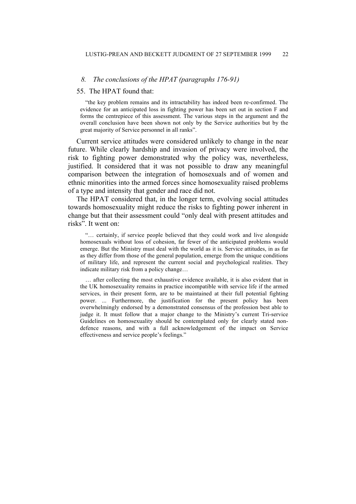#### *8. The conclusions of the HPAT (paragraphs 176-91)*

#### 55. The HPAT found that:

"the key problem remains and its intractability has indeed been re-confirmed. The evidence for an anticipated loss in fighting power has been set out in section F and forms the centrepiece of this assessment. The various steps in the argument and the overall conclusion have been shown not only by the Service authorities but by the great majority of Service personnel in all ranks".

Current service attitudes were considered unlikely to change in the near future. While clearly hardship and invasion of privacy were involved, the risk to fighting power demonstrated why the policy was, nevertheless, justified. It considered that it was not possible to draw any meaningful comparison between the integration of homosexuals and of women and ethnic minorities into the armed forces since homosexuality raised problems of a type and intensity that gender and race did not.

The HPAT considered that, in the longer term, evolving social attitudes towards homosexuality might reduce the risks to fighting power inherent in change but that their assessment could "only deal with present attitudes and risks". It went on:

"… certainly, if service people believed that they could work and live alongside homosexuals without loss of cohesion, far fewer of the anticipated problems would emerge. But the Ministry must deal with the world as it is. Service attitudes, in as far as they differ from those of the general population, emerge from the unique conditions of military life, and represent the current social and psychological realities. They indicate military risk from a policy change…

… after collecting the most exhaustive evidence available, it is also evident that in the UK homosexuality remains in practice incompatible with service life if the armed services, in their present form, are to be maintained at their full potential fighting power. ... Furthermore, the justification for the present policy has been overwhelmingly endorsed by a demonstrated consensus of the profession best able to judge it. It must follow that a major change to the Ministry's current Tri-service Guidelines on homosexuality should be contemplated only for clearly stated nondefence reasons, and with a full acknowledgement of the impact on Service effectiveness and service people's feelings."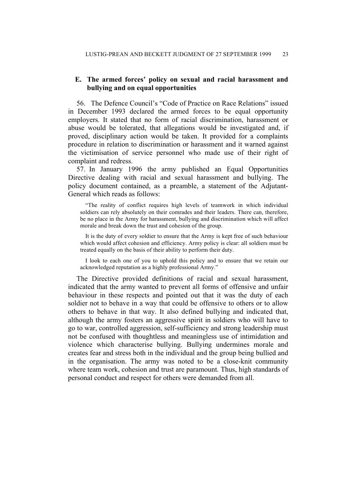## **E. The armed forces' policy on sexual and racial harassment and bullying and on equal opportunities**

56. The Defence Council's "Code of Practice on Race Relations" issued in December 1993 declared the armed forces to be equal opportunity employers. It stated that no form of racial discrimination, harassment or abuse would be tolerated, that allegations would be investigated and, if proved, disciplinary action would be taken. It provided for a complaints procedure in relation to discrimination or harassment and it warned against the victimisation of service personnel who made use of their right of complaint and redress.

57. In January 1996 the army published an Equal Opportunities Directive dealing with racial and sexual harassment and bullying. The policy document contained, as a preamble, a statement of the Adjutant-General which reads as follows:

"The reality of conflict requires high levels of teamwork in which individual soldiers can rely absolutely on their comrades and their leaders. There can, therefore, be no place in the Army for harassment, bullying and discrimination which will affect morale and break down the trust and cohesion of the group.

It is the duty of every soldier to ensure that the Army is kept free of such behaviour which would affect cohesion and efficiency. Army policy is clear: all soldiers must be treated equally on the basis of their ability to perform their duty.

I look to each one of you to uphold this policy and to ensure that we retain our acknowledged reputation as a highly professional Army."

The Directive provided definitions of racial and sexual harassment, indicated that the army wanted to prevent all forms of offensive and unfair behaviour in these respects and pointed out that it was the duty of each soldier not to behave in a way that could be offensive to others or to allow others to behave in that way. It also defined bullying and indicated that, although the army fosters an aggressive spirit in soldiers who will have to go to war, controlled aggression, self-sufficiency and strong leadership must not be confused with thoughtless and meaningless use of intimidation and violence which characterise bullying. Bullying undermines morale and creates fear and stress both in the individual and the group being bullied and in the organisation. The army was noted to be a close-knit community where team work, cohesion and trust are paramount. Thus, high standards of personal conduct and respect for others were demanded from all.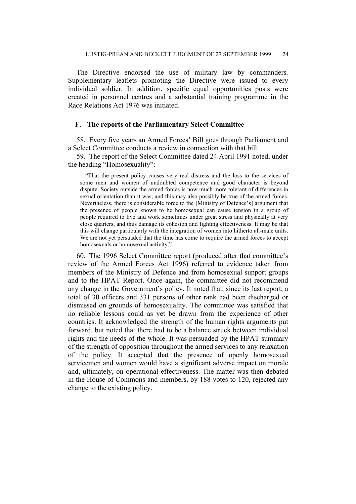The Directive endorsed the use of military law by commanders. Supplementary leaflets promoting the Directive were issued to every individual soldier. In addition, specific equal opportunities posts were created in personnel centres and a substantial training programme in the Race Relations Act 1976 was initiated.

## **F. The reports of the Parliamentary Select Committee**

58. Every five years an Armed Forces' Bill goes through Parliament and a Select Committee conducts a review in connection with that bill.

59. The report of the Select Committee dated 24 April 1991 noted, under the heading "Homosexuality":

"That the present policy causes very real distress and the loss to the services of some men and women of undoubted competence and good character is beyond dispute. Society outside the armed forces is now much more tolerant of differences in sexual orientation than it was, and this may also possibly be true of the armed forces. Nevertheless, there is considerable force to the [Ministry of Defence's] argument that the presence of people known to be homosexual can cause tension in a group of people required to live and work sometimes under great stress and physically at very close quarters, and thus damage its cohesion and fighting effectiveness. It may be that this will change particularly with the integration of women into hitherto all-male units. We are not yet persuaded that the time has come to require the armed forces to accept homosexuals or homosexual activity."

60. The 1996 Select Committee report (produced after that committee's review of the Armed Forces Act 1996) referred to evidence taken from members of the Ministry of Defence and from homosexual support groups and to the HPAT Report. Once again, the committee did not recommend any change in the Government's policy. It noted that, since its last report, a total of 30 officers and 331 persons of other rank had been discharged or dismissed on grounds of homosexuality. The committee was satisfied that no reliable lessons could as yet be drawn from the experience of other countries. It acknowledged the strength of the human rights arguments put forward, but noted that there had to be a balance struck between individual rights and the needs of the whole. It was persuaded by the HPAT summary of the strength of opposition throughout the armed services to any relaxation of the policy. It accepted that the presence of openly homosexual servicemen and women would have a significant adverse impact on morale and, ultimately, on operational effectiveness. The matter was then debated in the House of Commons and members, by 188 votes to 120, rejected any change to the existing policy.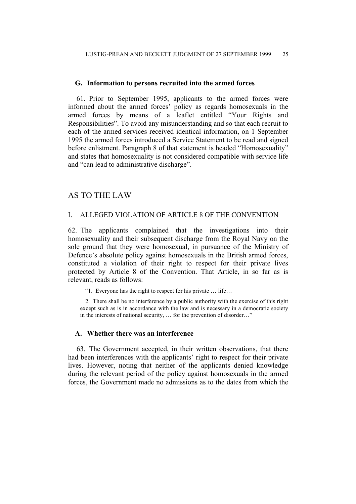#### **G. Information to persons recruited into the armed forces**

61. Prior to September 1995, applicants to the armed forces were informed about the armed forces' policy as regards homosexuals in the armed forces by means of a leaflet entitled "Your Rights and Responsibilities". To avoid any misunderstanding and so that each recruit to each of the armed services received identical information, on 1 September 1995 the armed forces introduced a Service Statement to be read and signed before enlistment. Paragraph 8 of that statement is headed "Homosexuality" and states that homosexuality is not considered compatible with service life and "can lead to administrative discharge".

## AS TO THE LAW

## I. ALLEGED VIOLATION OF ARTICLE 8 OF THE CONVENTION

62. The applicants complained that the investigations into their homosexuality and their subsequent discharge from the Royal Navy on the sole ground that they were homosexual, in pursuance of the Ministry of Defence's absolute policy against homosexuals in the British armed forces, constituted a violation of their right to respect for their private lives protected by Article 8 of the Convention. That Article, in so far as is relevant, reads as follows:

"1. Everyone has the right to respect for his private … life…

2. There shall be no interference by a public authority with the exercise of this right except such as is in accordance with the law and is necessary in a democratic society in the interests of national security, … for the prevention of disorder…"

## **A. Whether there was an interference**

63. The Government accepted, in their written observations, that there had been interferences with the applicants' right to respect for their private lives. However, noting that neither of the applicants denied knowledge during the relevant period of the policy against homosexuals in the armed forces, the Government made no admissions as to the dates from which the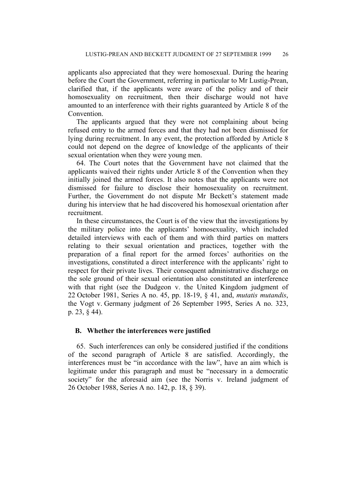applicants also appreciated that they were homosexual. During the hearing before the Court the Government, referring in particular to Mr Lustig-Prean, clarified that, if the applicants were aware of the policy and of their homosexuality on recruitment, then their discharge would not have amounted to an interference with their rights guaranteed by Article 8 of the Convention.

The applicants argued that they were not complaining about being refused entry to the armed forces and that they had not been dismissed for lying during recruitment. In any event, the protection afforded by Article 8 could not depend on the degree of knowledge of the applicants of their sexual orientation when they were young men.

64. The Court notes that the Government have not claimed that the applicants waived their rights under Article 8 of the Convention when they initially joined the armed forces. It also notes that the applicants were not dismissed for failure to disclose their homosexuality on recruitment. Further, the Government do not dispute Mr Beckett's statement made during his interview that he had discovered his homosexual orientation after recruitment.

In these circumstances, the Court is of the view that the investigations by the military police into the applicants' homosexuality, which included detailed interviews with each of them and with third parties on matters relating to their sexual orientation and practices, together with the preparation of a final report for the armed forces' authorities on the investigations, constituted a direct interference with the applicants' right to respect for their private lives. Their consequent administrative discharge on the sole ground of their sexual orientation also constituted an interference with that right (see the Dudgeon v. the United Kingdom judgment of 22 October 1981, Series A no. 45, pp. 18-19, § 41, and, *mutatis mutandis*, the Vogt v. Germany judgment of 26 September 1995, Series A no. 323, p. 23, § 44).

## **B. Whether the interferences were justified**

65. Such interferences can only be considered justified if the conditions of the second paragraph of Article 8 are satisfied. Accordingly, the interferences must be "in accordance with the law", have an aim which is legitimate under this paragraph and must be "necessary in a democratic society" for the aforesaid aim (see the Norris v. Ireland judgment of 26 October 1988, Series A no. 142, p. 18, § 39).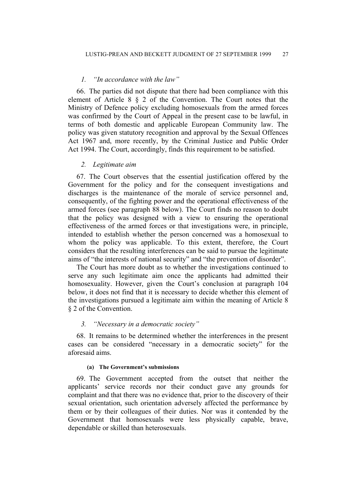#### *1. "In accordance with the law"*

66. The parties did not dispute that there had been compliance with this element of Article 8 § 2 of the Convention. The Court notes that the Ministry of Defence policy excluding homosexuals from the armed forces was confirmed by the Court of Appeal in the present case to be lawful, in terms of both domestic and applicable European Community law. The policy was given statutory recognition and approval by the Sexual Offences Act 1967 and, more recently, by the Criminal Justice and Public Order Act 1994. The Court, accordingly, finds this requirement to be satisfied.

#### *2. Legitimate aim*

67. The Court observes that the essential justification offered by the Government for the policy and for the consequent investigations and discharges is the maintenance of the morale of service personnel and, consequently, of the fighting power and the operational effectiveness of the armed forces (see paragraph 88 below). The Court finds no reason to doubt that the policy was designed with a view to ensuring the operational effectiveness of the armed forces or that investigations were, in principle, intended to establish whether the person concerned was a homosexual to whom the policy was applicable. To this extent, therefore, the Court considers that the resulting interferences can be said to pursue the legitimate aims of "the interests of national security" and "the prevention of disorder".

The Court has more doubt as to whether the investigations continued to serve any such legitimate aim once the applicants had admitted their homosexuality. However, given the Court's conclusion at paragraph 104 below, it does not find that it is necessary to decide whether this element of the investigations pursued a legitimate aim within the meaning of Article 8 § 2 of the Convention.

## *3. "Necessary in a democratic society"*

68. It remains to be determined whether the interferences in the present cases can be considered "necessary in a democratic society" for the aforesaid aims.

#### **(a) The Government's submissions**

69. The Government accepted from the outset that neither the applicants' service records nor their conduct gave any grounds for complaint and that there was no evidence that, prior to the discovery of their sexual orientation, such orientation adversely affected the performance by them or by their colleagues of their duties. Nor was it contended by the Government that homosexuals were less physically capable, brave, dependable or skilled than heterosexuals.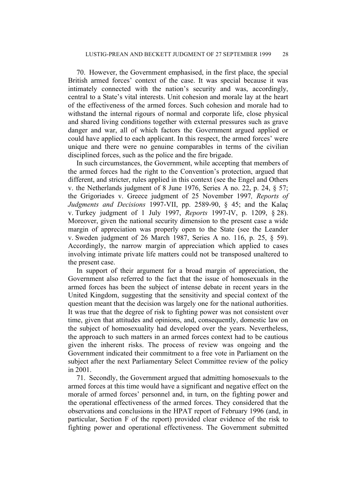70. However, the Government emphasised, in the first place, the special British armed forces' context of the case. It was special because it was intimately connected with the nation's security and was, accordingly, central to a State's vital interests. Unit cohesion and morale lay at the heart of the effectiveness of the armed forces. Such cohesion and morale had to withstand the internal rigours of normal and corporate life, close physical and shared living conditions together with external pressures such as grave danger and war, all of which factors the Government argued applied or could have applied to each applicant. In this respect, the armed forces' were unique and there were no genuine comparables in terms of the civilian disciplined forces, such as the police and the fire brigade.

In such circumstances, the Government, while accepting that members of the armed forces had the right to the Convention's protection, argued that different, and stricter, rules applied in this context (see the Engel and Others v. the Netherlands judgment of 8 June 1976, Series A no. 22, p. 24, § 57; the Grigoriades v. Greece judgment of 25 November 1997*, Reports of Judgments and Decisions* 1997-VII, pp. 2589-90, § 45; and the Kalaç v. Turkey judgment of 1 July 1997, *Reports* 1997-IV, p. 1209, § 28). Moreover, given the national security dimension to the present case a wide margin of appreciation was properly open to the State (see the Leander v. Sweden judgment of 26 March 1987, Series A no. 116, p. 25, § 59). Accordingly, the narrow margin of appreciation which applied to cases involving intimate private life matters could not be transposed unaltered to the present case.

In support of their argument for a broad margin of appreciation, the Government also referred to the fact that the issue of homosexuals in the armed forces has been the subject of intense debate in recent years in the United Kingdom, suggesting that the sensitivity and special context of the question meant that the decision was largely one for the national authorities. It was true that the degree of risk to fighting power was not consistent over time, given that attitudes and opinions, and, consequently, domestic law on the subject of homosexuality had developed over the years. Nevertheless, the approach to such matters in an armed forces context had to be cautious given the inherent risks. The process of review was ongoing and the Government indicated their commitment to a free vote in Parliament on the subject after the next Parliamentary Select Committee review of the policy in 2001.

71. Secondly, the Government argued that admitting homosexuals to the armed forces at this time would have a significant and negative effect on the morale of armed forces' personnel and, in turn, on the fighting power and the operational effectiveness of the armed forces. They considered that the observations and conclusions in the HPAT report of February 1996 (and, in particular, Section F of the report) provided clear evidence of the risk to fighting power and operational effectiveness. The Government submitted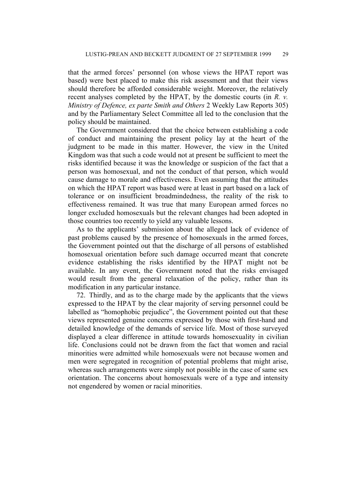that the armed forces' personnel (on whose views the HPAT report was based) were best placed to make this risk assessment and that their views should therefore be afforded considerable weight. Moreover, the relatively recent analyses completed by the HPAT, by the domestic courts (in *R. v. Ministry of Defence, ex parte Smith and Others* 2 Weekly Law Reports 305) and by the Parliamentary Select Committee all led to the conclusion that the policy should be maintained.

The Government considered that the choice between establishing a code of conduct and maintaining the present policy lay at the heart of the judgment to be made in this matter. However, the view in the United Kingdom was that such a code would not at present be sufficient to meet the risks identified because it was the knowledge or suspicion of the fact that a person was homosexual, and not the conduct of that person, which would cause damage to morale and effectiveness. Even assuming that the attitudes on which the HPAT report was based were at least in part based on a lack of tolerance or on insufficient broadmindedness, the reality of the risk to effectiveness remained. It was true that many European armed forces no longer excluded homosexuals but the relevant changes had been adopted in those countries too recently to yield any valuable lessons.

As to the applicants' submission about the alleged lack of evidence of past problems caused by the presence of homosexuals in the armed forces, the Government pointed out that the discharge of all persons of established homosexual orientation before such damage occurred meant that concrete evidence establishing the risks identified by the HPAT might not be available. In any event, the Government noted that the risks envisaged would result from the general relaxation of the policy, rather than its modification in any particular instance.

72. Thirdly, and as to the charge made by the applicants that the views expressed to the HPAT by the clear majority of serving personnel could be labelled as "homophobic prejudice", the Government pointed out that these views represented genuine concerns expressed by those with first-hand and detailed knowledge of the demands of service life. Most of those surveyed displayed a clear difference in attitude towards homosexuality in civilian life. Conclusions could not be drawn from the fact that women and racial minorities were admitted while homosexuals were not because women and men were segregated in recognition of potential problems that might arise, whereas such arrangements were simply not possible in the case of same sex orientation. The concerns about homosexuals were of a type and intensity not engendered by women or racial minorities.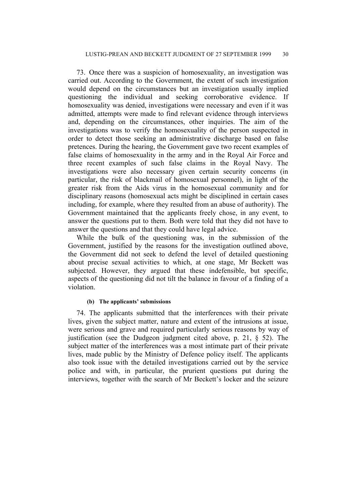73. Once there was a suspicion of homosexuality, an investigation was carried out. According to the Government, the extent of such investigation would depend on the circumstances but an investigation usually implied questioning the individual and seeking corroborative evidence. If homosexuality was denied, investigations were necessary and even if it was admitted, attempts were made to find relevant evidence through interviews and, depending on the circumstances, other inquiries. The aim of the investigations was to verify the homosexuality of the person suspected in order to detect those seeking an administrative discharge based on false pretences. During the hearing, the Government gave two recent examples of false claims of homosexuality in the army and in the Royal Air Force and three recent examples of such false claims in the Royal Navy. The investigations were also necessary given certain security concerns (in particular, the risk of blackmail of homosexual personnel), in light of the greater risk from the Aids virus in the homosexual community and for disciplinary reasons (homosexual acts might be disciplined in certain cases including, for example, where they resulted from an abuse of authority). The Government maintained that the applicants freely chose, in any event, to answer the questions put to them. Both were told that they did not have to answer the questions and that they could have legal advice.

While the bulk of the questioning was, in the submission of the Government, justified by the reasons for the investigation outlined above, the Government did not seek to defend the level of detailed questioning about precise sexual activities to which, at one stage, Mr Beckett was subjected. However, they argued that these indefensible, but specific, aspects of the questioning did not tilt the balance in favour of a finding of a violation.

#### **(b) The applicants' submissions**

74. The applicants submitted that the interferences with their private lives, given the subject matter, nature and extent of the intrusions at issue, were serious and grave and required particularly serious reasons by way of justification (see the Dudgeon judgment cited above, p. 21, § 52). The subject matter of the interferences was a most intimate part of their private lives, made public by the Ministry of Defence policy itself. The applicants also took issue with the detailed investigations carried out by the service police and with, in particular, the prurient questions put during the interviews, together with the search of Mr Beckett's locker and the seizure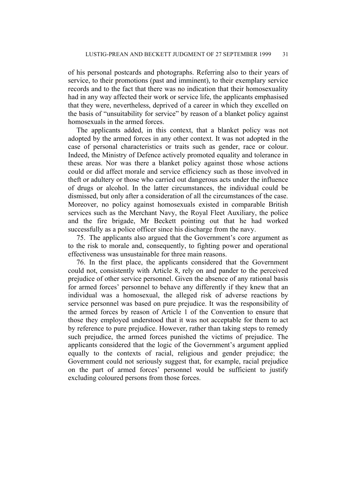of his personal postcards and photographs. Referring also to their years of service, to their promotions (past and imminent), to their exemplary service records and to the fact that there was no indication that their homosexuality had in any way affected their work or service life, the applicants emphasised that they were, nevertheless, deprived of a career in which they excelled on the basis of "unsuitability for service" by reason of a blanket policy against homosexuals in the armed forces.

The applicants added, in this context, that a blanket policy was not adopted by the armed forces in any other context. It was not adopted in the case of personal characteristics or traits such as gender, race or colour. Indeed, the Ministry of Defence actively promoted equality and tolerance in these areas. Nor was there a blanket policy against those whose actions could or did affect morale and service efficiency such as those involved in theft or adultery or those who carried out dangerous acts under the influence of drugs or alcohol. In the latter circumstances, the individual could be dismissed, but only after a consideration of all the circumstances of the case. Moreover, no policy against homosexuals existed in comparable British services such as the Merchant Navy, the Royal Fleet Auxiliary, the police and the fire brigade, Mr Beckett pointing out that he had worked successfully as a police officer since his discharge from the navy.

75. The applicants also argued that the Government's core argument as to the risk to morale and, consequently, to fighting power and operational effectiveness was unsustainable for three main reasons.

76. In the first place, the applicants considered that the Government could not, consistently with Article 8, rely on and pander to the perceived prejudice of other service personnel. Given the absence of any rational basis for armed forces' personnel to behave any differently if they knew that an individual was a homosexual, the alleged risk of adverse reactions by service personnel was based on pure prejudice. It was the responsibility of the armed forces by reason of Article 1 of the Convention to ensure that those they employed understood that it was not acceptable for them to act by reference to pure prejudice. However, rather than taking steps to remedy such prejudice, the armed forces punished the victims of prejudice. The applicants considered that the logic of the Government's argument applied equally to the contexts of racial, religious and gender prejudice; the Government could not seriously suggest that, for example, racial prejudice on the part of armed forces' personnel would be sufficient to justify excluding coloured persons from those forces.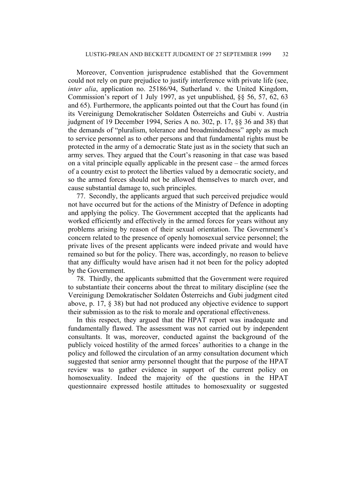Moreover, Convention jurisprudence established that the Government could not rely on pure prejudice to justify interference with private life (see, *inter alia*, application no. 25186/94, Sutherland v. the United Kingdom, Commission's report of 1 July 1997, as yet unpublished, §§ 56, 57, 62, 63 and 65). Furthermore, the applicants pointed out that the Court has found (in its Vereinigung Demokratischer Soldaten Österreichs and Gubi v. Austria judgment of 19 December 1994, Series A no. 302, p. 17, §§ 36 and 38) that the demands of "pluralism, tolerance and broadmindedness" apply as much to service personnel as to other persons and that fundamental rights must be protected in the army of a democratic State just as in the society that such an army serves. They argued that the Court's reasoning in that case was based on a vital principle equally applicable in the present case – the armed forces of a country exist to protect the liberties valued by a democratic society, and so the armed forces should not be allowed themselves to march over, and cause substantial damage to, such principles.

77. Secondly, the applicants argued that such perceived prejudice would not have occurred but for the actions of the Ministry of Defence in adopting and applying the policy. The Government accepted that the applicants had worked efficiently and effectively in the armed forces for years without any problems arising by reason of their sexual orientation. The Government's concern related to the presence of openly homosexual service personnel; the private lives of the present applicants were indeed private and would have remained so but for the policy. There was, accordingly, no reason to believe that any difficulty would have arisen had it not been for the policy adopted by the Government.

78. Thirdly, the applicants submitted that the Government were required to substantiate their concerns about the threat to military discipline (see the Vereinigung Demokratischer Soldaten Österreichs and Gubi judgment cited above, p. 17, § 38) but had not produced any objective evidence to support their submission as to the risk to morale and operational effectiveness.

In this respect, they argued that the HPAT report was inadequate and fundamentally flawed. The assessment was not carried out by independent consultants. It was, moreover, conducted against the background of the publicly voiced hostility of the armed forces' authorities to a change in the policy and followed the circulation of an army consultation document which suggested that senior army personnel thought that the purpose of the HPAT review was to gather evidence in support of the current policy on homosexuality. Indeed the majority of the questions in the HPAT questionnaire expressed hostile attitudes to homosexuality or suggested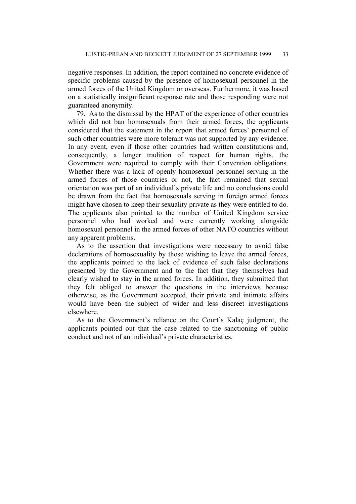negative responses. In addition, the report contained no concrete evidence of specific problems caused by the presence of homosexual personnel in the armed forces of the United Kingdom or overseas. Furthermore, it was based on a statistically insignificant response rate and those responding were not guaranteed anonymity.

79. As to the dismissal by the HPAT of the experience of other countries which did not ban homosexuals from their armed forces, the applicants considered that the statement in the report that armed forces' personnel of such other countries were more tolerant was not supported by any evidence. In any event, even if those other countries had written constitutions and, consequently, a longer tradition of respect for human rights, the Government were required to comply with their Convention obligations. Whether there was a lack of openly homosexual personnel serving in the armed forces of those countries or not, the fact remained that sexual orientation was part of an individual's private life and no conclusions could be drawn from the fact that homosexuals serving in foreign armed forces might have chosen to keep their sexuality private as they were entitled to do. The applicants also pointed to the number of United Kingdom service personnel who had worked and were currently working alongside homosexual personnel in the armed forces of other NATO countries without any apparent problems.

As to the assertion that investigations were necessary to avoid false declarations of homosexuality by those wishing to leave the armed forces, the applicants pointed to the lack of evidence of such false declarations presented by the Government and to the fact that they themselves had clearly wished to stay in the armed forces. In addition, they submitted that they felt obliged to answer the questions in the interviews because otherwise, as the Government accepted, their private and intimate affairs would have been the subject of wider and less discreet investigations elsewhere.

As to the Government's reliance on the Court's Kalaç judgment, the applicants pointed out that the case related to the sanctioning of public conduct and not of an individual's private characteristics.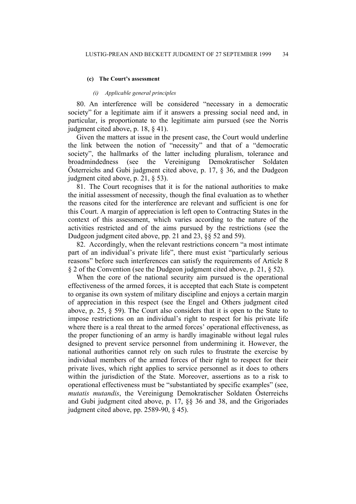#### **(c) The Court's assessment**

#### *(i) Applicable general principles*

80. An interference will be considered "necessary in a democratic society" for a legitimate aim if it answers a pressing social need and, in particular, is proportionate to the legitimate aim pursued (see the Norris judgment cited above, p. 18, § 41).

Given the matters at issue in the present case, the Court would underline the link between the notion of "necessity" and that of a "democratic society", the hallmarks of the latter including pluralism, tolerance and broadmindedness (see the Vereinigung Demokratischer Soldaten Österreichs and Gubi judgment cited above, p. 17, § 36, and the Dudgeon judgment cited above, p. 21, § 53).

81. The Court recognises that it is for the national authorities to make the initial assessment of necessity, though the final evaluation as to whether the reasons cited for the interference are relevant and sufficient is one for this Court. A margin of appreciation is left open to Contracting States in the context of this assessment, which varies according to the nature of the activities restricted and of the aims pursued by the restrictions (see the Dudgeon judgment cited above, pp. 21 and 23, §§ 52 and 59).

82. Accordingly, when the relevant restrictions concern "a most intimate part of an individual's private life", there must exist "particularly serious reasons" before such interferences can satisfy the requirements of Article 8 § 2 of the Convention (see the Dudgeon judgment cited above, p. 21, § 52).

When the core of the national security aim pursued is the operational effectiveness of the armed forces, it is accepted that each State is competent to organise its own system of military discipline and enjoys a certain margin of appreciation in this respect (see the Engel and Others judgment cited above, p. 25, § 59). The Court also considers that it is open to the State to impose restrictions on an individual's right to respect for his private life where there is a real threat to the armed forces' operational effectiveness, as the proper functioning of an army is hardly imaginable without legal rules designed to prevent service personnel from undermining it. However, the national authorities cannot rely on such rules to frustrate the exercise by individual members of the armed forces of their right to respect for their private lives, which right applies to service personnel as it does to others within the jurisdiction of the State. Moreover, assertions as to a risk to operational effectiveness must be "substantiated by specific examples" (see, *mutatis mutandis*, the Vereinigung Demokratischer Soldaten Österreichs and Gubi judgment cited above, p. 17, §§ 36 and 38, and the Grigoriades judgment cited above, pp. 2589-90, § 45).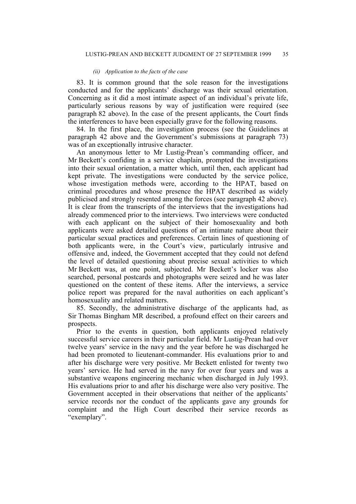#### *(ii) Application to the facts of the case*

83. It is common ground that the sole reason for the investigations conducted and for the applicants' discharge was their sexual orientation. Concerning as it did a most intimate aspect of an individual's private life, particularly serious reasons by way of justification were required (see paragraph 82 above). In the case of the present applicants, the Court finds the interferences to have been especially grave for the following reasons.

84. In the first place, the investigation process (see the Guidelines at paragraph 42 above and the Government's submissions at paragraph 73) was of an exceptionally intrusive character.

An anonymous letter to Mr Lustig-Prean's commanding officer, and Mr Beckett's confiding in a service chaplain, prompted the investigations into their sexual orientation, a matter which, until then, each applicant had kept private. The investigations were conducted by the service police, whose investigation methods were, according to the HPAT, based on criminal procedures and whose presence the HPAT described as widely publicised and strongly resented among the forces (see paragraph 42 above). It is clear from the transcripts of the interviews that the investigations had already commenced prior to the interviews. Two interviews were conducted with each applicant on the subject of their homosexuality and both applicants were asked detailed questions of an intimate nature about their particular sexual practices and preferences. Certain lines of questioning of both applicants were, in the Court's view, particularly intrusive and offensive and, indeed, the Government accepted that they could not defend the level of detailed questioning about precise sexual activities to which Mr Beckett was, at one point, subjected. Mr Beckett's locker was also searched, personal postcards and photographs were seized and he was later questioned on the content of these items. After the interviews, a service police report was prepared for the naval authorities on each applicant's homosexuality and related matters.

85. Secondly, the administrative discharge of the applicants had, as Sir Thomas Bingham MR described, a profound effect on their careers and prospects.

Prior to the events in question, both applicants enjoyed relatively successful service careers in their particular field. Mr Lustig-Prean had over twelve years' service in the navy and the year before he was discharged he had been promoted to lieutenant-commander. His evaluations prior to and after his discharge were very positive. Mr Beckett enlisted for twenty two years' service. He had served in the navy for over four years and was a substantive weapons engineering mechanic when discharged in July 1993. His evaluations prior to and after his discharge were also very positive. The Government accepted in their observations that neither of the applicants' service records nor the conduct of the applicants gave any grounds for complaint and the High Court described their service records as "exemplary".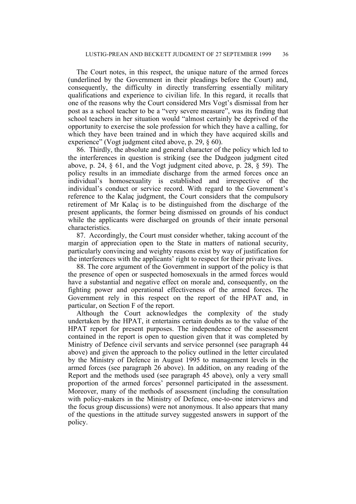The Court notes, in this respect, the unique nature of the armed forces (underlined by the Government in their pleadings before the Court) and, consequently, the difficulty in directly transferring essentially military qualifications and experience to civilian life. In this regard, it recalls that one of the reasons why the Court considered Mrs Vogt's dismissal from her post as a school teacher to be a "very severe measure", was its finding that school teachers in her situation would "almost certainly be deprived of the opportunity to exercise the sole profession for which they have a calling, for which they have been trained and in which they have acquired skills and experience" (Vogt judgment cited above, p. 29, § 60).

86. Thirdly, the absolute and general character of the policy which led to the interferences in question is striking (see the Dudgeon judgment cited above, p. 24, § 61, and the Vogt judgment cited above, p. 28, § 59). The policy results in an immediate discharge from the armed forces once an individual's homosexuality is established and irrespective of the individual's conduct or service record. With regard to the Government's reference to the Kalaç judgment, the Court considers that the compulsory retirement of Mr Kalaç is to be distinguished from the discharge of the present applicants, the former being dismissed on grounds of his conduct while the applicants were discharged on grounds of their innate personal characteristics.

87. Accordingly, the Court must consider whether, taking account of the margin of appreciation open to the State in matters of national security, particularly convincing and weighty reasons exist by way of justification for the interferences with the applicants' right to respect for their private lives.

88. The core argument of the Government in support of the policy is that the presence of open or suspected homosexuals in the armed forces would have a substantial and negative effect on morale and, consequently, on the fighting power and operational effectiveness of the armed forces. The Government rely in this respect on the report of the HPAT and, in particular, on Section F of the report.

Although the Court acknowledges the complexity of the study undertaken by the HPAT, it entertains certain doubts as to the value of the HPAT report for present purposes. The independence of the assessment contained in the report is open to question given that it was completed by Ministry of Defence civil servants and service personnel (see paragraph 44 above) and given the approach to the policy outlined in the letter circulated by the Ministry of Defence in August 1995 to management levels in the armed forces (see paragraph 26 above). In addition, on any reading of the Report and the methods used (see paragraph 45 above), only a very small proportion of the armed forces' personnel participated in the assessment. Moreover, many of the methods of assessment (including the consultation with policy-makers in the Ministry of Defence, one-to-one interviews and the focus group discussions) were not anonymous. It also appears that many of the questions in the attitude survey suggested answers in support of the policy.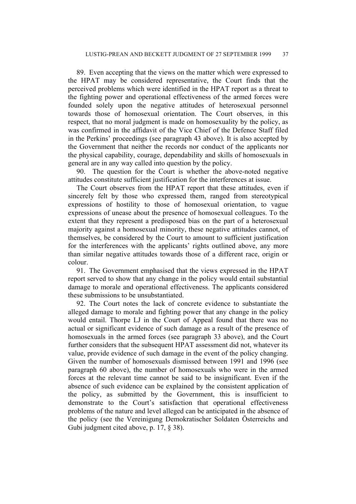89. Even accepting that the views on the matter which were expressed to the HPAT may be considered representative, the Court finds that the perceived problems which were identified in the HPAT report as a threat to the fighting power and operational effectiveness of the armed forces were founded solely upon the negative attitudes of heterosexual personnel towards those of homosexual orientation. The Court observes, in this respect, that no moral judgment is made on homosexuality by the policy, as was confirmed in the affidavit of the Vice Chief of the Defence Staff filed in the Perkins' proceedings (see paragraph 43 above). It is also accepted by the Government that neither the records nor conduct of the applicants nor the physical capability, courage, dependability and skills of homosexuals in general are in any way called into question by the policy.

90. The question for the Court is whether the above-noted negative attitudes constitute sufficient justification for the interferences at issue.

The Court observes from the HPAT report that these attitudes, even if sincerely felt by those who expressed them, ranged from stereotypical expressions of hostility to those of homosexual orientation, to vague expressions of unease about the presence of homosexual colleagues. To the extent that they represent a predisposed bias on the part of a heterosexual majority against a homosexual minority, these negative attitudes cannot, of themselves, be considered by the Court to amount to sufficient justification for the interferences with the applicants' rights outlined above, any more than similar negative attitudes towards those of a different race, origin or colour.

91. The Government emphasised that the views expressed in the HPAT report served to show that any change in the policy would entail substantial damage to morale and operational effectiveness. The applicants considered these submissions to be unsubstantiated.

92. The Court notes the lack of concrete evidence to substantiate the alleged damage to morale and fighting power that any change in the policy would entail. Thorpe LJ in the Court of Appeal found that there was no actual or significant evidence of such damage as a result of the presence of homosexuals in the armed forces (see paragraph 33 above), and the Court further considers that the subsequent HPAT assessment did not, whatever its value, provide evidence of such damage in the event of the policy changing. Given the number of homosexuals dismissed between 1991 and 1996 (see paragraph 60 above), the number of homosexuals who were in the armed forces at the relevant time cannot be said to be insignificant. Even if the absence of such evidence can be explained by the consistent application of the policy, as submitted by the Government, this is insufficient to demonstrate to the Court's satisfaction that operational effectiveness problems of the nature and level alleged can be anticipated in the absence of the policy (see the Vereinigung Demokratischer Soldaten Österreichs and Gubi judgment cited above, p. 17, § 38).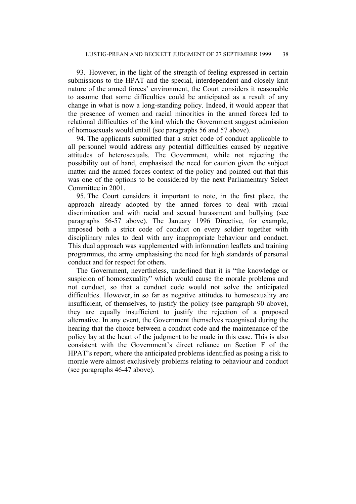93. However, in the light of the strength of feeling expressed in certain submissions to the HPAT and the special, interdependent and closely knit nature of the armed forces' environment, the Court considers it reasonable to assume that some difficulties could be anticipated as a result of any change in what is now a long-standing policy. Indeed, it would appear that the presence of women and racial minorities in the armed forces led to relational difficulties of the kind which the Government suggest admission of homosexuals would entail (see paragraphs 56 and 57 above).

94. The applicants submitted that a strict code of conduct applicable to all personnel would address any potential difficulties caused by negative attitudes of heterosexuals. The Government, while not rejecting the possibility out of hand, emphasised the need for caution given the subject matter and the armed forces context of the policy and pointed out that this was one of the options to be considered by the next Parliamentary Select Committee in 2001.

95. The Court considers it important to note, in the first place, the approach already adopted by the armed forces to deal with racial discrimination and with racial and sexual harassment and bullying (see paragraphs 56-57 above). The January 1996 Directive, for example, imposed both a strict code of conduct on every soldier together with disciplinary rules to deal with any inappropriate behaviour and conduct. This dual approach was supplemented with information leaflets and training programmes, the army emphasising the need for high standards of personal conduct and for respect for others.

The Government, nevertheless, underlined that it is "the knowledge or suspicion of homosexuality" which would cause the morale problems and not conduct, so that a conduct code would not solve the anticipated difficulties. However, in so far as negative attitudes to homosexuality are insufficient, of themselves, to justify the policy (see paragraph 90 above), they are equally insufficient to justify the rejection of a proposed alternative. In any event, the Government themselves recognised during the hearing that the choice between a conduct code and the maintenance of the policy lay at the heart of the judgment to be made in this case. This is also consistent with the Government's direct reliance on Section F of the HPAT's report, where the anticipated problems identified as posing a risk to morale were almost exclusively problems relating to behaviour and conduct (see paragraphs 46-47 above).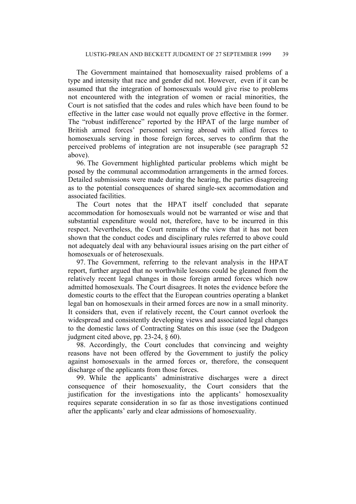The Government maintained that homosexuality raised problems of a type and intensity that race and gender did not. However, even if it can be assumed that the integration of homosexuals would give rise to problems not encountered with the integration of women or racial minorities, the Court is not satisfied that the codes and rules which have been found to be effective in the latter case would not equally prove effective in the former. The "robust indifference" reported by the HPAT of the large number of British armed forces' personnel serving abroad with allied forces to homosexuals serving in those foreign forces, serves to confirm that the perceived problems of integration are not insuperable (see paragraph 52 above).

96. The Government highlighted particular problems which might be posed by the communal accommodation arrangements in the armed forces. Detailed submissions were made during the hearing, the parties disagreeing as to the potential consequences of shared single-sex accommodation and associated facilities.

The Court notes that the HPAT itself concluded that separate accommodation for homosexuals would not be warranted or wise and that substantial expenditure would not, therefore, have to be incurred in this respect. Nevertheless, the Court remains of the view that it has not been shown that the conduct codes and disciplinary rules referred to above could not adequately deal with any behavioural issues arising on the part either of homosexuals or of heterosexuals.

97. The Government, referring to the relevant analysis in the HPAT report, further argued that no worthwhile lessons could be gleaned from the relatively recent legal changes in those foreign armed forces which now admitted homosexuals. The Court disagrees. It notes the evidence before the domestic courts to the effect that the European countries operating a blanket legal ban on homosexuals in their armed forces are now in a small minority. It considers that, even if relatively recent, the Court cannot overlook the widespread and consistently developing views and associated legal changes to the domestic laws of Contracting States on this issue (see the Dudgeon judgment cited above, pp. 23-24, § 60).

98. Accordingly, the Court concludes that convincing and weighty reasons have not been offered by the Government to justify the policy against homosexuals in the armed forces or, therefore, the consequent discharge of the applicants from those forces.

99. While the applicants' administrative discharges were a direct consequence of their homosexuality, the Court considers that the justification for the investigations into the applicants' homosexuality requires separate consideration in so far as those investigations continued after the applicants' early and clear admissions of homosexuality.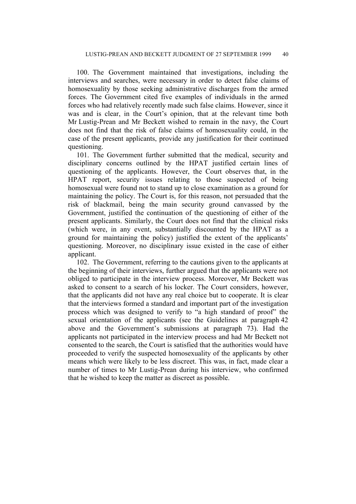100. The Government maintained that investigations, including the interviews and searches, were necessary in order to detect false claims of homosexuality by those seeking administrative discharges from the armed forces. The Government cited five examples of individuals in the armed forces who had relatively recently made such false claims. However, since it was and is clear, in the Court's opinion, that at the relevant time both Mr Lustig-Prean and Mr Beckett wished to remain in the navy, the Court does not find that the risk of false claims of homosexuality could, in the case of the present applicants, provide any justification for their continued questioning.

101. The Government further submitted that the medical, security and disciplinary concerns outlined by the HPAT justified certain lines of questioning of the applicants. However, the Court observes that, in the HPAT report, security issues relating to those suspected of being homosexual were found not to stand up to close examination as a ground for maintaining the policy. The Court is, for this reason, not persuaded that the risk of blackmail, being the main security ground canvassed by the Government, justified the continuation of the questioning of either of the present applicants. Similarly, the Court does not find that the clinical risks (which were, in any event, substantially discounted by the HPAT as a ground for maintaining the policy) justified the extent of the applicants' questioning. Moreover, no disciplinary issue existed in the case of either applicant.

102. The Government, referring to the cautions given to the applicants at the beginning of their interviews, further argued that the applicants were not obliged to participate in the interview process. Moreover, Mr Beckett was asked to consent to a search of his locker. The Court considers, however, that the applicants did not have any real choice but to cooperate. It is clear that the interviews formed a standard and important part of the investigation process which was designed to verify to "a high standard of proof" the sexual orientation of the applicants (see the Guidelines at paragraph 42 above and the Government's submissions at paragraph 73). Had the applicants not participated in the interview process and had Mr Beckett not consented to the search, the Court is satisfied that the authorities would have proceeded to verify the suspected homosexuality of the applicants by other means which were likely to be less discreet. This was, in fact, made clear a number of times to Mr Lustig-Prean during his interview, who confirmed that he wished to keep the matter as discreet as possible.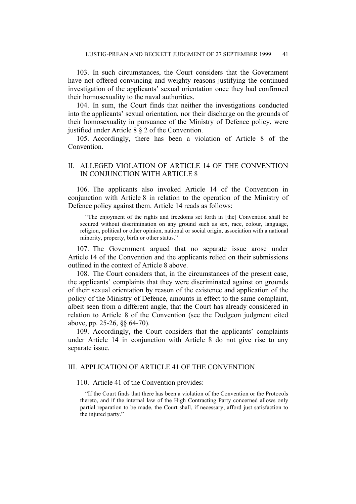103. In such circumstances, the Court considers that the Government have not offered convincing and weighty reasons justifying the continued investigation of the applicants' sexual orientation once they had confirmed their homosexuality to the naval authorities.

104. In sum, the Court finds that neither the investigations conducted into the applicants' sexual orientation, nor their discharge on the grounds of their homosexuality in pursuance of the Ministry of Defence policy, were justified under Article 8 § 2 of the Convention.

105. Accordingly, there has been a violation of Article 8 of the **Convention** 

## II. ALLEGED VIOLATION OF ARTICLE 14 OF THE CONVENTION IN CONJUNCTION WITH ARTICLE 8

106. The applicants also invoked Article 14 of the Convention in conjunction with Article 8 in relation to the operation of the Ministry of Defence policy against them. Article 14 reads as follows:

"The enjoyment of the rights and freedoms set forth in [the] Convention shall be secured without discrimination on any ground such as sex, race, colour, language, religion, political or other opinion, national or social origin, association with a national minority, property, birth or other status."

107. The Government argued that no separate issue arose under Article 14 of the Convention and the applicants relied on their submissions outlined in the context of Article 8 above.

108. The Court considers that, in the circumstances of the present case, the applicants' complaints that they were discriminated against on grounds of their sexual orientation by reason of the existence and application of the policy of the Ministry of Defence, amounts in effect to the same complaint, albeit seen from a different angle, that the Court has already considered in relation to Article 8 of the Convention (see the Dudgeon judgment cited above, pp. 25-26, §§ 64-70).

109. Accordingly, the Court considers that the applicants' complaints under Article 14 in conjunction with Article 8 do not give rise to any separate issue.

## III. APPLICATION OF ARTICLE 41 OF THE CONVENTION

#### 110. Article 41 of the Convention provides:

"If the Court finds that there has been a violation of the Convention or the Protocols thereto, and if the internal law of the High Contracting Party concerned allows only partial reparation to be made, the Court shall, if necessary, afford just satisfaction to the injured party."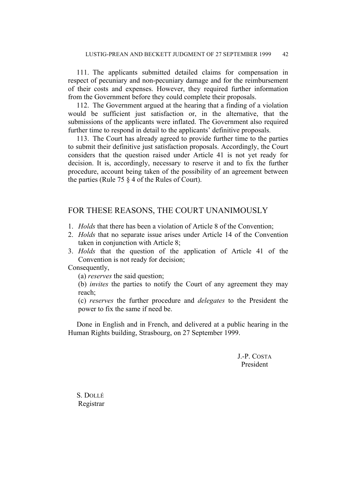111. The applicants submitted detailed claims for compensation in respect of pecuniary and non-pecuniary damage and for the reimbursement of their costs and expenses. However, they required further information from the Government before they could complete their proposals.

112. The Government argued at the hearing that a finding of a violation would be sufficient just satisfaction or, in the alternative, that the submissions of the applicants were inflated. The Government also required further time to respond in detail to the applicants' definitive proposals.

113. The Court has already agreed to provide further time to the parties to submit their definitive just satisfaction proposals. Accordingly, the Court considers that the question raised under Article 41 is not yet ready for decision. It is, accordingly, necessary to reserve it and to fix the further procedure, account being taken of the possibility of an agreement between the parties (Rule 75 § 4 of the Rules of Court).

## FOR THESE REASONS, THE COURT UNANIMOUSLY

- 1. *Holds* that there has been a violation of Article 8 of the Convention;
- 2. *Holds* that no separate issue arises under Article 14 of the Convention taken in conjunction with Article 8;
- 3. *Holds* that the question of the application of Article 41 of the Convention is not ready for decision;

Consequently,

(a) *reserves* the said question;

(b) *invites* the parties to notify the Court of any agreement they may reach;

(c) *reserves* the further procedure and *delegates* to the President the power to fix the same if need be.

Done in English and in French, and delivered at a public hearing in the Human Rights building, Strasbourg, on 27 September 1999.

> J.-P. COSTA President

S. DOLLÉ Registrar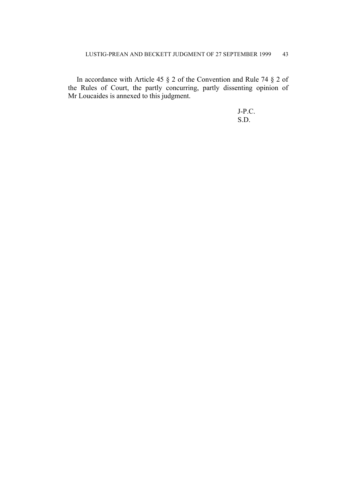In accordance with Article 45 § 2 of the Convention and Rule 74 § 2 of the Rules of Court, the partly concurring, partly dissenting opinion of Mr Loucaides is annexed to this judgment.

> J-P.C. S.D.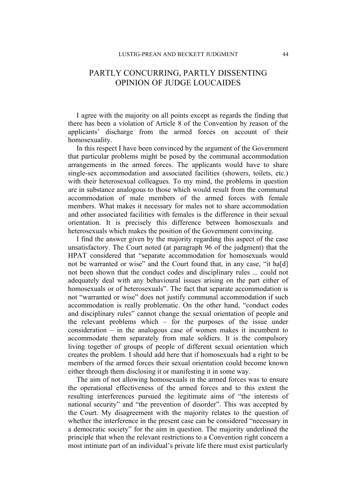## PARTLY CONCURRING, PARTLY DISSENTING OPINION OF JUDGE LOUCAIDES

I agree with the majority on all points except as regards the finding that there has been a violation of Article 8 of the Convention by reason of the applicants' discharge from the armed forces on account of their homosexuality.

In this respect I have been convinced by the argument of the Government that particular problems might be posed by the communal accommodation arrangements in the armed forces. The applicants would have to share single-sex accommodation and associated facilities (showers, toilets, etc.) with their heterosexual colleagues. To my mind, the problems in question are in substance analogous to those which would result from the communal accommodation of male members of the armed forces with female members. What makes it necessary for males not to share accommodation and other associated facilities with females is the difference in their sexual orientation. It is precisely this difference between homosexuals and heterosexuals which makes the position of the Government convincing.

I find the answer given by the majority regarding this aspect of the case unsatisfactory. The Court noted (at paragraph 96 of the judgment) that the HPAT considered that "separate accommodation for homosexuals would not be warranted or wise" and the Court found that, in any case, "it ha[d] not been shown that the conduct codes and disciplinary rules ... could not adequately deal with any behavioural issues arising on the part either of homosexuals or of heterosexuals". The fact that separate accommodation is not "warranted or wise" does not justify communal accommodation if such accommodation is really problematic. On the other hand, "conduct codes and disciplinary rules" cannot change the sexual orientation of people and the relevant problems which – for the purposes of the issue under consideration – in the analogous case of women makes it incumbent to accommodate them separately from male soldiers. It is the compulsory living together of groups of people of different sexual orientation which creates the problem. I should add here that if homosexuals had a right to be members of the armed forces their sexual orientation could become known either through them disclosing it or manifesting it in some way.

The aim of not allowing homosexuals in the armed forces was to ensure the operational effectiveness of the armed forces and to this extent the resulting interferences pursued the legitimate aims of "the interests of national security" and "the prevention of disorder". This was accepted by the Court. My disagreement with the majority relates to the question of whether the interference in the present case can be considered "necessary in a democratic society" for the aim in question. The majority underlined the principle that when the relevant restrictions to a Convention right concern a most intimate part of an individual's private life there must exist particularly